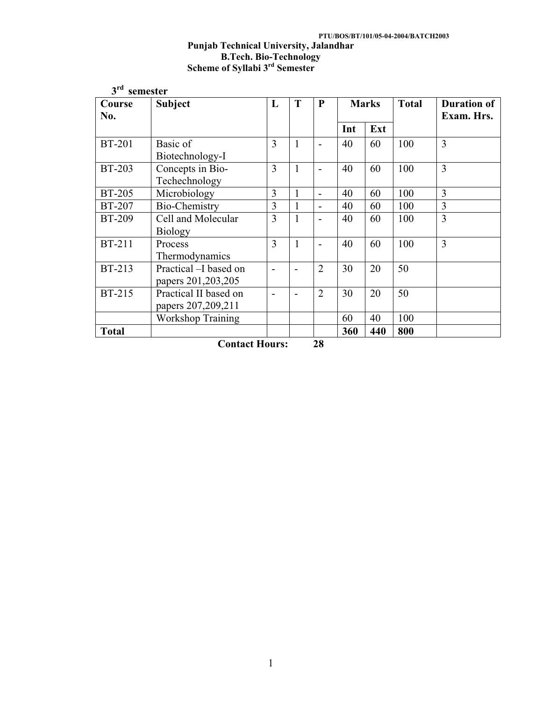# **PTU/BOS/BT/101/05-04-2004/BATCH2003 Punjab Technical University, Jalandhar B.Tech. Bio-Technology Scheme of Syllabi 3rd Semester**

| 3 <sup>rd</sup> | semester                 |                |              |                          |     |              |              |                    |
|-----------------|--------------------------|----------------|--------------|--------------------------|-----|--------------|--------------|--------------------|
| Course          | Subject                  | L              | T            | $\mathbf{P}$             |     | <b>Marks</b> | <b>Total</b> | <b>Duration of</b> |
| No.             |                          |                |              |                          |     |              |              | Exam. Hrs.         |
|                 |                          |                |              |                          | Int | Ext          |              |                    |
| <b>BT-201</b>   | Basic of                 | $\overline{3}$ | 1            | $\overline{\phantom{a}}$ | 40  | 60           | 100          | $\overline{3}$     |
|                 | Biotechnology-I          |                |              |                          |     |              |              |                    |
| <b>BT-203</b>   | Concepts in Bio-         | 3              | 1            | $\overline{a}$           | 40  | 60           | 100          | $\overline{3}$     |
|                 | Techechnology            |                |              |                          |     |              |              |                    |
| <b>BT-205</b>   | Microbiology             | 3              | 1            | $\overline{a}$           | 40  | 60           | 100          | 3                  |
| <b>BT-207</b>   | Bio-Chemistry            | 3              | 1            | $\overline{a}$           | 40  | 60           | 100          | $\overline{3}$     |
| <b>BT-209</b>   | Cell and Molecular       | 3              | 1            | $\overline{\phantom{0}}$ | 40  | 60           | 100          | $\overline{3}$     |
|                 | <b>Biology</b>           |                |              |                          |     |              |              |                    |
| <b>BT-211</b>   | Process                  | 3              | $\mathbf{1}$ | $\overline{\phantom{a}}$ | 40  | 60           | 100          | $\overline{3}$     |
|                 | Thermodynamics           |                |              |                          |     |              |              |                    |
| <b>BT-213</b>   | Practical -I based on    |                |              | $\overline{2}$           | 30  | 20           | 50           |                    |
|                 | papers 201, 203, 205     |                |              |                          |     |              |              |                    |
| <b>BT-215</b>   | Practical II based on    |                |              | $\overline{2}$           | 30  | 20           | 50           |                    |
|                 | papers 207,209,211       |                |              |                          |     |              |              |                    |
|                 | <b>Workshop Training</b> |                |              |                          | 60  | 40           | 100          |                    |
| <b>Total</b>    |                          |                |              |                          | 360 | 440          | 800          |                    |

**Contact Hours: 28**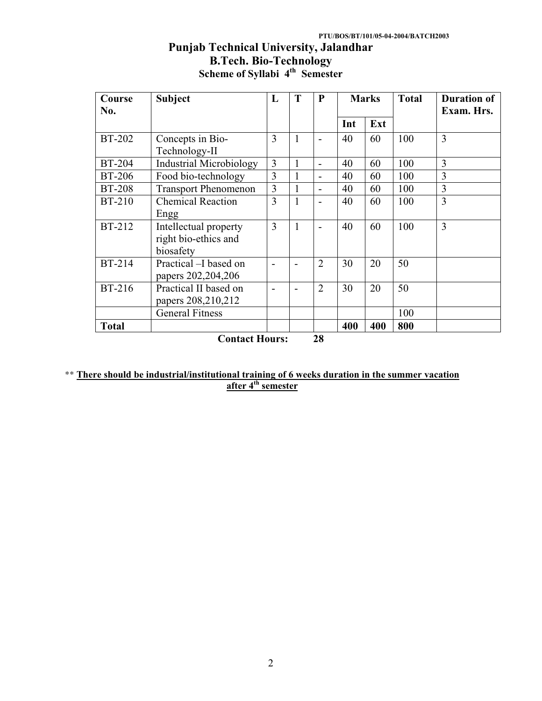# **Punjab Technical University, Jalandhar B.Tech. Bio-Technology Scheme of Syllabi 4th Semester**

| Course<br>No. | <b>Subject</b>                                             | L              | T            | P              | <b>Marks</b> |     | <b>Total</b> | <b>Duration of</b><br>Exam. Hrs. |
|---------------|------------------------------------------------------------|----------------|--------------|----------------|--------------|-----|--------------|----------------------------------|
|               |                                                            |                |              |                | Int          | Ext |              |                                  |
| <b>BT-202</b> | Concepts in Bio-<br>Technology-II                          | 3              | 1            |                | 40           | 60  | 100          | 3                                |
| <b>BT-204</b> | <b>Industrial Microbiology</b>                             | $\overline{3}$ | 1            | $\overline{a}$ | 40           | 60  | 100          | 3                                |
| <b>BT-206</b> | Food bio-technology                                        | 3              |              | $\overline{a}$ | 40           | 60  | 100          | 3                                |
| <b>BT-208</b> | <b>Transport Phenomenon</b>                                | 3              | 1            |                | 40           | 60  | 100          | 3                                |
| <b>BT-210</b> | <b>Chemical Reaction</b><br>Engg                           | 3              | 1            |                | 40           | 60  | 100          | 3                                |
| <b>BT-212</b> | Intellectual property<br>right bio-ethics and<br>biosafety | 3              | $\mathbf{1}$ |                | 40           | 60  | 100          | $\overline{3}$                   |
| <b>BT-214</b> | Practical -I based on<br>papers 202, 204, 206              |                |              | $\overline{2}$ | 30           | 20  | 50           |                                  |
| <b>BT-216</b> | Practical II based on<br>papers 208,210,212                |                |              | $\overline{2}$ | 30           | 20  | 50           |                                  |
|               | <b>General Fitness</b>                                     |                |              |                |              |     | 100          |                                  |
| <b>Total</b>  |                                                            |                |              | $\mathbf{A}$   | 400          | 400 | 800          |                                  |

**Contact Hours: 28** 

# \*\* **There should be industrial/institutional training of 6 weeks duration in the summer vacation after 4th semester**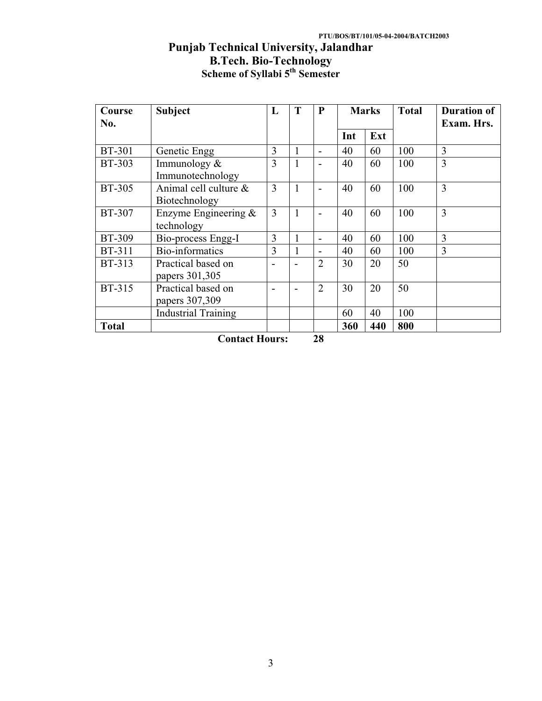# **Punjab Technical University, Jalandhar B.Tech. Bio-Technology Scheme of Syllabi 5th Semester**

| Course        | <b>Subject</b>                                     | L              | T | P                        | <b>Marks</b> |     | <b>Total</b> | <b>Duration of</b> |
|---------------|----------------------------------------------------|----------------|---|--------------------------|--------------|-----|--------------|--------------------|
| No.           |                                                    |                |   |                          |              |     |              | Exam. Hrs.         |
|               |                                                    |                |   |                          | Int          | Ext |              |                    |
| <b>BT-301</b> | Genetic Engg                                       | 3              | 1 | $\overline{\phantom{a}}$ | 40           | 60  | 100          | 3                  |
| <b>BT-303</b> | Immunology $\&$<br>Immunotechnology                | 3              | 1 | $\overline{\phantom{0}}$ | 40           | 60  | 100          | $\overline{3}$     |
| <b>BT-305</b> | Animal cell culture $\&$<br>Biotechnology          | $\overline{3}$ | 1 | $\overline{\phantom{a}}$ | 40           | 60  | 100          | 3                  |
| <b>BT-307</b> | Enzyme Engineering $\&$<br>technology              | 3              | 1 | $\overline{\phantom{0}}$ | 40           | 60  | 100          | 3                  |
| <b>BT-309</b> | Bio-process Engg-I                                 | $\overline{3}$ |   | $\overline{\phantom{0}}$ | 40           | 60  | 100          | 3                  |
| <b>BT-311</b> | Bio-informatics                                    | 3              |   | $\overline{\phantom{0}}$ | 40           | 60  | 100          | 3                  |
| <b>BT-313</b> | Practical based on<br>papers 301,305               |                |   | $\overline{2}$           | 30           | 20  | 50           |                    |
| <b>BT-315</b> | Practical based on<br>papers 307,309               |                |   | $\overline{2}$           | 30           | 20  | 50           |                    |
|               | <b>Industrial Training</b>                         |                |   |                          | 60           | 40  | 100          |                    |
| <b>Total</b>  | $\sim$ $\sim$<br>$\mathbf{r}$ , where $\mathbf{r}$ |                |   | $\sim$                   | 360          | 440 | 800          |                    |

**Contact Hours: 28**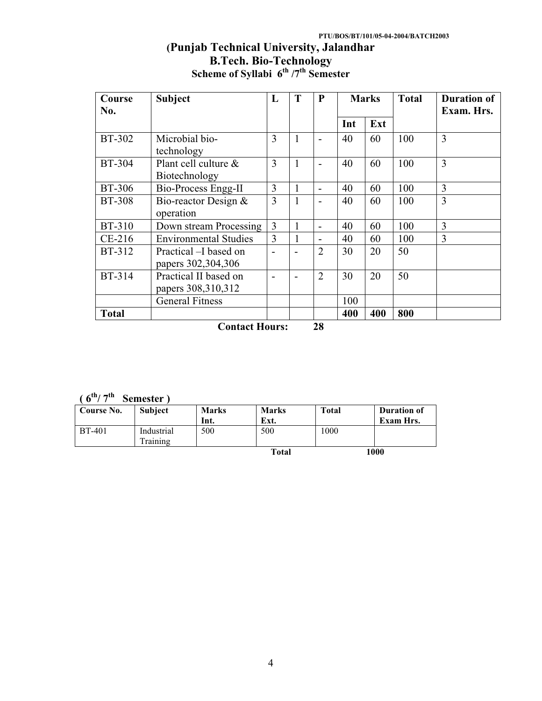# **PTU/BOS/BT/101/05-04-2004/BATCH2003**

# **(Punjab Technical University, Jalandhar B.Tech. Bio-Technology Scheme of Syllabi 6th /7th Semester**

| Course<br>No. | <b>Subject</b>                               | L              | T | P                        |     | <b>Marks</b> | <b>Total</b> | <b>Duration of</b><br>Exam. Hrs. |
|---------------|----------------------------------------------|----------------|---|--------------------------|-----|--------------|--------------|----------------------------------|
|               |                                              |                |   |                          | Int | Ext          |              |                                  |
| <b>BT-302</b> | Microbial bio-<br>technology                 | 3              | 1 |                          | 40  | 60           | 100          | 3                                |
| <b>BT-304</b> | Plant cell culture &<br>Biotechnology        | 3              | 1 | $\overline{\phantom{0}}$ | 40  | 60           | 100          | $\overline{3}$                   |
| <b>BT-306</b> | <b>Bio-Process Engg-II</b>                   | $\overline{3}$ | 1 | $\overline{\phantom{0}}$ | 40  | 60           | 100          | 3                                |
| <b>BT-308</b> | Bio-reactor Design &<br>operation            | 3              |   | $\overline{a}$           | 40  | 60           | 100          | 3                                |
| <b>BT-310</b> | Down stream Processing                       | $\overline{3}$ |   | $\overline{\phantom{0}}$ | 40  | 60           | 100          | 3                                |
| CE-216        | <b>Environmental Studies</b>                 | $\overline{3}$ | 1 |                          | 40  | 60           | 100          | 3                                |
| <b>BT-312</b> | Practical - I based on<br>papers 302,304,306 |                |   | $\overline{2}$           | 30  | 20           | 50           |                                  |
| <b>BT-314</b> | Practical II based on<br>papers 308,310,312  |                |   | $\overline{2}$           | 30  | 20           | 50           |                                  |
|               | <b>General Fitness</b>                       |                |   |                          | 100 |              |              |                                  |
| <b>Total</b>  | Contact Hours                                |                |   | 70                       | 400 | 400          | 800          |                                  |

**Contact Hours: 28** 

**( 6th/ 7th Semester )**

| Course No.    | <b>Subject</b>         | <b>Marks</b><br>Int. | <b>Marks</b><br>Ext. | <b>Total</b> | <b>Duration of</b><br><b>Exam Hrs.</b> |
|---------------|------------------------|----------------------|----------------------|--------------|----------------------------------------|
| <b>BT-401</b> | Industrial<br>Training | 500                  | 500                  | 1000         |                                        |
|               |                        |                      | <b>Total</b>         |              | 1000                                   |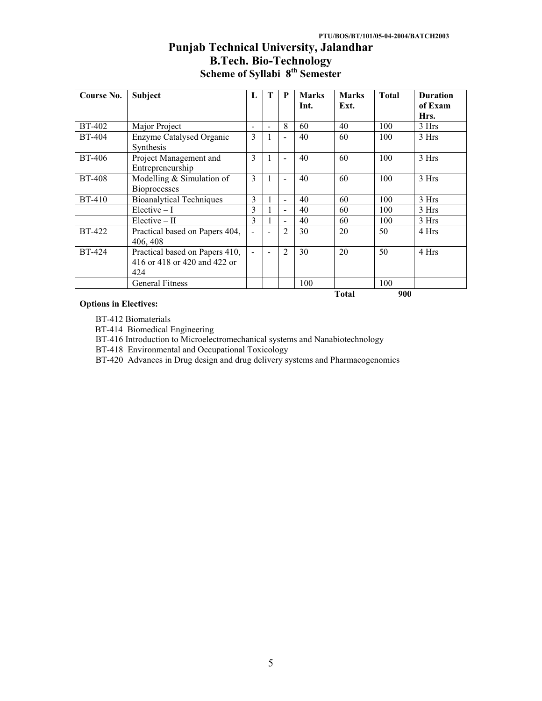# **Punjab Technical University, Jalandhar B.Tech. Bio-Technology Scheme of Syllabi 8th Semester**

| Course No.    | Subject                                                               | L                        | т                        | P                        | <b>Marks</b> | <b>Marks</b> | <b>Total</b> | <b>Duration</b> |
|---------------|-----------------------------------------------------------------------|--------------------------|--------------------------|--------------------------|--------------|--------------|--------------|-----------------|
|               |                                                                       |                          |                          |                          | Int.         | Ext.         |              | of Exam         |
|               |                                                                       |                          |                          |                          |              |              |              | Hrs.            |
| <b>BT-402</b> | Major Project                                                         | $\overline{\phantom{0}}$ | $\overline{\phantom{0}}$ | 8                        | 60           | 40           | 100          | 3 Hrs           |
| <b>BT-404</b> | Enzyme Catalysed Organic<br>Synthesis                                 | 3                        |                          | $\overline{\phantom{0}}$ | 40           | 60           | 100          | 3 Hrs           |
| BT-406        | Project Management and<br>Entrepreneurship                            | 3                        |                          | $\blacksquare$           | 40           | 60           | 100          | 3 Hrs           |
| <b>BT-408</b> | Modelling $&$ Simulation of<br><b>Bioprocesses</b>                    | 3                        |                          | $\blacksquare$           | 40           | 60           | 100          | 3 Hrs           |
| <b>BT-410</b> | <b>Bioanalytical Techniques</b>                                       | 3                        |                          | $\blacksquare$           | 40           | 60           | 100          | 3 Hrs           |
|               | $Electric - I$                                                        | 3                        |                          | $\overline{\phantom{a}}$ | 40           | 60           | 100          | 3 Hrs           |
|               | $Elective - II$                                                       | 3                        |                          | $\blacksquare$           | 40           | 60           | 100          | 3 Hrs           |
| <b>BT-422</b> | Practical based on Papers 404,<br>406, 408                            |                          |                          | 2                        | 30           | 20           | 50           | 4 Hrs           |
| <b>BT-424</b> | Practical based on Papers 410,<br>416 or 418 or 420 and 422 or<br>424 | ÷.                       |                          | 2                        | 30           | 20           | 50           | 4 Hrs           |
|               | <b>General Fitness</b>                                                |                          |                          |                          | 100          |              | 100          |                 |
|               |                                                                       |                          |                          |                          |              | <b>Total</b> | 900          |                 |

#### **Options in Electives:**

BT-412 Biomaterials

BT-414 Biomedical Engineering

BT-416 Introduction to Microelectromechanical systems and Nanabiotechnology

BT-418 Environmental and Occupational Toxicology

BT-420 Advances in Drug design and drug delivery systems and Pharmacogenomics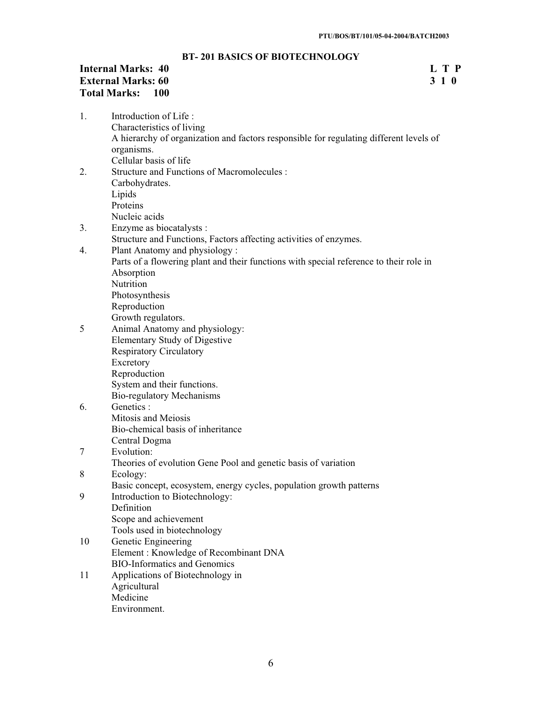# **BT- 201 BASICS OF BIOTECHNOLOGY**

# **Internal Marks: 40** L T P<br> **External Marks: 60** 3 1 0 **External Marks: 60 Total Marks: 100**

| 1. | Introduction of Life:                                                                  |
|----|----------------------------------------------------------------------------------------|
|    | Characteristics of living                                                              |
|    | A hierarchy of organization and factors responsible for regulating different levels of |
|    | organisms.                                                                             |
|    | Cellular basis of life                                                                 |
| 2. | <b>Structure and Functions of Macromolecules:</b>                                      |
|    | Carbohydrates.                                                                         |
|    | Lipids                                                                                 |
|    | Proteins                                                                               |
|    | Nucleic acids                                                                          |
| 3. | Enzyme as biocatalysts :                                                               |
|    | Structure and Functions, Factors affecting activities of enzymes.                      |
| 4. | Plant Anatomy and physiology:                                                          |
|    | Parts of a flowering plant and their functions with special reference to their role in |
|    | Absorption                                                                             |
|    | Nutrition                                                                              |
|    | Photosynthesis                                                                         |
|    | Reproduction                                                                           |
|    | Growth regulators.                                                                     |
| 5  | Animal Anatomy and physiology:                                                         |
|    | <b>Elementary Study of Digestive</b>                                                   |
|    | <b>Respiratory Circulatory</b>                                                         |
|    | Excretory                                                                              |
|    | Reproduction                                                                           |
|    | System and their functions.                                                            |
|    | <b>Bio-regulatory Mechanisms</b>                                                       |
| 6. | Genetics :                                                                             |
|    | Mitosis and Meiosis                                                                    |
|    | Bio-chemical basis of inheritance                                                      |
|    | Central Dogma                                                                          |
| 7  | Evolution:                                                                             |
|    | Theories of evolution Gene Pool and genetic basis of variation                         |
| 8  | Ecology:                                                                               |
|    | Basic concept, ecosystem, energy cycles, population growth patterns                    |
| 9  | Introduction to Biotechnology:                                                         |
|    | Definition                                                                             |
|    | Scope and achievement                                                                  |
|    | Tools used in biotechnology                                                            |
| 10 | Genetic Engineering                                                                    |
|    | Element: Knowledge of Recombinant DNA                                                  |
|    | <b>BIO-Informatics and Genomics</b>                                                    |
| 11 | Applications of Biotechnology in                                                       |
|    | Agricultural                                                                           |
|    | Medicine                                                                               |

Environment.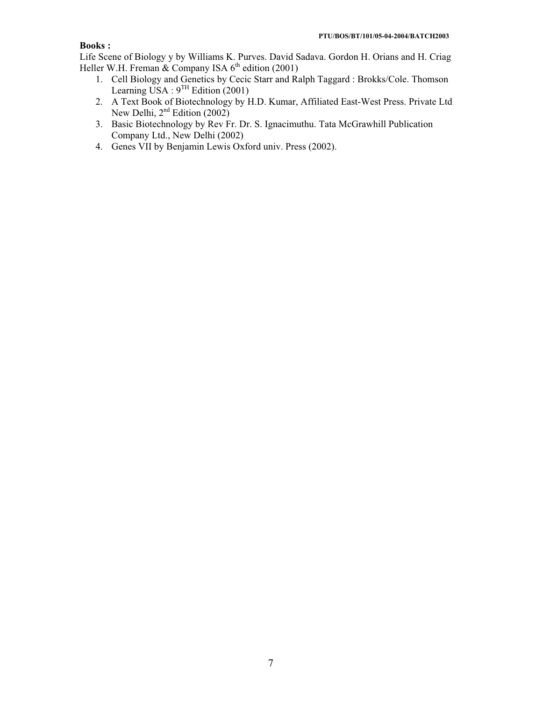# **Books :**

Life Scene of Biology y by Williams K. Purves. David Sadava. Gordon H. Orians and H. Criag Heller W.H. Freman & Company ISA  $6<sup>th</sup>$  edition (2001)

- 1. Cell Biology and Genetics by Cecic Starr and Ralph Taggard : Brokks/Cole. Thomson Learning USA :  $9^{TH}$  Edition (2001)
- 2. A Text Book of Biotechnology by H.D. Kumar, Affiliated East-West Press. Private Ltd New Delhi,  $2<sup>nd</sup>$  Edition (2002)
- 3. Basic Biotechnology by Rev Fr. Dr. S. Ignacimuthu. Tata McGrawhill Publication Company Ltd., New Delhi (2002)
- 4. Genes VII by Benjamin Lewis Oxford univ. Press (2002).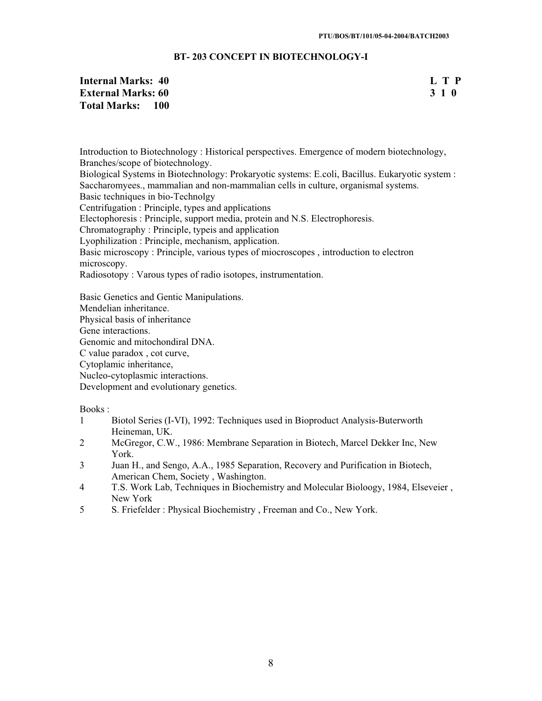# **BT- 203 CONCEPT IN BIOTECHNOLOGY-I**

# **Internal Marks: 40 L T P L T P External Marks: 60 3 1 0 Total Marks: 100**

Introduction to Biotechnology : Historical perspectives. Emergence of modern biotechnology, Branches/scope of biotechnology.

Biological Systems in Biotechnology: Prokaryotic systems: E.coli, Bacillus. Eukaryotic system : Saccharomyees., mammalian and non-mammalian cells in culture, organismal systems.

Basic techniques in bio-Technolgy

Centrifugation : Principle, types and applications

Electophoresis : Principle, support media, protein and N.S. Electrophoresis.

Chromatography : Principle, typeis and application

Lyophilization : Principle, mechanism, application.

Basic microscopy : Principle, various types of miocroscopes , introduction to electron microscopy.

Radiosotopy : Varous types of radio isotopes, instrumentation.

Basic Genetics and Gentic Manipulations.

Mendelian inheritance.

Physical basis of inheritance

Gene interactions.

Genomic and mitochondiral DNA.

C value paradox , cot curve,

Cytoplamic inheritance,

Nucleo-cytoplasmic interactions.

Development and evolutionary genetics.

- 1 Biotol Series (I-VI), 1992: Techniques used in Bioproduct Analysis-Buterworth Heineman, UK.
- 2 McGregor, C.W., 1986: Membrane Separation in Biotech, Marcel Dekker Inc, New York.
- 3 Juan H., and Sengo, A.A., 1985 Separation, Recovery and Purification in Biotech, American Chem, Society , Washington.
- 4 T.S. Work Lab, Techniques in Biochemistry and Molecular Bioloogy, 1984, Elseveier , New York
- 5 S. Friefelder : Physical Biochemistry , Freeman and Co., New York.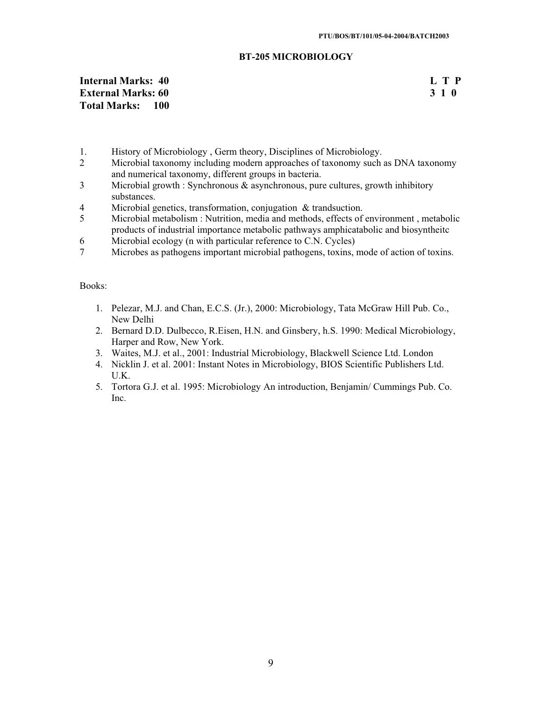## **BT-205 MICROBIOLOGY**

# **Internal Marks: 40** L T P **L T P External Marks: 60 L T P External Marks: 60 B External Marks: 60 B External Marks: 60 B External Marks: 60 B External Marks: 60 B EXECUTE: EXECUTE: EXECUTE: External Marks: 60 Total Marks: 100**

- 1. History of Microbiology , Germ theory, Disciplines of Microbiology.
- 2 Microbial taxonomy including modern approaches of taxonomy such as DNA taxonomy and numerical taxonomy, different groups in bacteria.
- 3 Microbial growth : Synchronous & asynchronous, pure cultures, growth inhibitory substances.
- 4 Microbial genetics, transformation, conjugation & trandsuction.<br>5 Microbial metabolism : Nutrition, media and methods, effects of
- 5 Microbial metabolism : Nutrition, media and methods, effects of environment , metabolic products of industrial importance metabolic pathways amphicatabolic and biosyntheitc
- 6 Microbial ecology (n with particular reference to C.N. Cycles)
- 7 Microbes as pathogens important microbial pathogens, toxins, mode of action of toxins.

- 1. Pelezar, M.J. and Chan, E.C.S. (Jr.), 2000: Microbiology, Tata McGraw Hill Pub. Co., New Delhi
- 2. Bernard D.D. Dulbecco, R.Eisen, H.N. and Ginsbery, h.S. 1990: Medical Microbiology, Harper and Row, New York.
- 3. Waites, M.J. et al., 2001: Industrial Microbiology, Blackwell Science Ltd. London
- 4. Nicklin J. et al. 2001: Instant Notes in Microbiology, BIOS Scientific Publishers Ltd. U.K.
- 5. Tortora G.J. et al. 1995: Microbiology An introduction, Benjamin/ Cummings Pub. Co. Inc.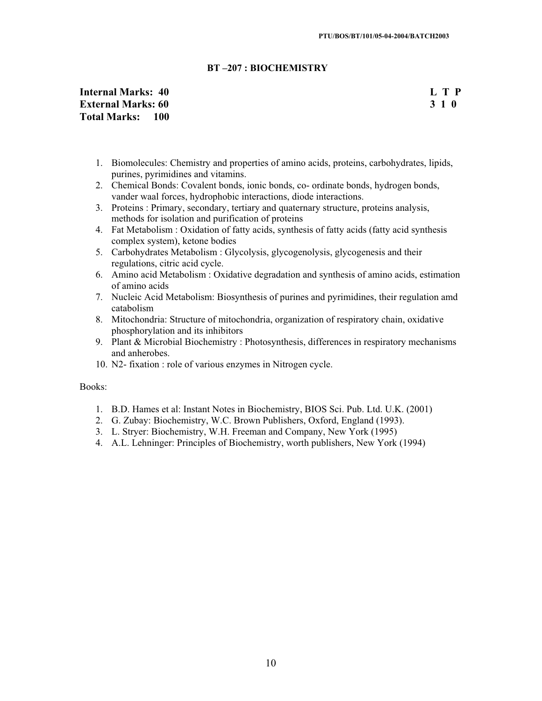# **BT –207 : BIOCHEMISTRY**

# **Internal Marks: 40 L T P External Marks: 60 3 1 0 Total Marks: 100**

- 1. Biomolecules: Chemistry and properties of amino acids, proteins, carbohydrates, lipids, purines, pyrimidines and vitamins.
- 2. Chemical Bonds: Covalent bonds, ionic bonds, co- ordinate bonds, hydrogen bonds, vander waal forces, hydrophobic interactions, diode interactions.
- 3. Proteins : Primary, secondary, tertiary and quaternary structure, proteins analysis, methods for isolation and purification of proteins
- 4. Fat Metabolism : Oxidation of fatty acids, synthesis of fatty acids (fatty acid synthesis complex system), ketone bodies
- 5. Carbohydrates Metabolism : Glycolysis, glycogenolysis, glycogenesis and their regulations, citric acid cycle.
- 6. Amino acid Metabolism : Oxidative degradation and synthesis of amino acids, estimation of amino acids
- 7. Nucleic Acid Metabolism: Biosynthesis of purines and pyrimidines, their regulation amd catabolism
- 8. Mitochondria: Structure of mitochondria, organization of respiratory chain, oxidative phosphorylation and its inhibitors
- 9. Plant & Microbial Biochemistry : Photosynthesis, differences in respiratory mechanisms and anherobes.
- 10. N2- fixation : role of various enzymes in Nitrogen cycle.

- 1. B.D. Hames et al: Instant Notes in Biochemistry, BIOS Sci. Pub. Ltd. U.K. (2001)
- 2. G. Zubay: Biochemistry, W.C. Brown Publishers, Oxford, England (1993).
- 3. L. Stryer: Biochemistry, W.H. Freeman and Company, New York (1995)
- 4. A.L. Lehninger: Principles of Biochemistry, worth publishers, New York (1994)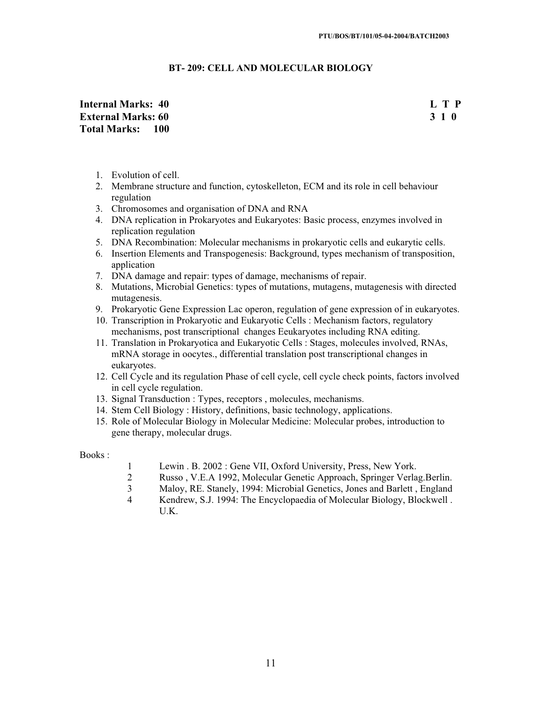# **BT- 209: CELL AND MOLECULAR BIOLOGY**

# **Internal Marks: 40 L T P External Marks: 60 3 1 0 Total Marks: 100**

- 1. Evolution of cell.
- 2. Membrane structure and function, cytoskelleton, ECM and its role in cell behaviour regulation
- 3. Chromosomes and organisation of DNA and RNA
- 4. DNA replication in Prokaryotes and Eukaryotes: Basic process, enzymes involved in replication regulation
- 5. DNA Recombination: Molecular mechanisms in prokaryotic cells and eukarytic cells.
- 6. Insertion Elements and Transpogenesis: Background, types mechanism of transposition, application
- 7. DNA damage and repair: types of damage, mechanisms of repair.
- 8. Mutations, Microbial Genetics: types of mutations, mutagens, mutagenesis with directed mutagenesis.
- 9. Prokaryotic Gene Expression Lac operon, regulation of gene expression of in eukaryotes.
- 10. Transcription in Prokaryotic and Eukaryotic Cells : Mechanism factors, regulatory mechanisms, post transcriptional changes Eeukaryotes including RNA editing.
- 11. Translation in Prokaryotica and Eukaryotic Cells : Stages, molecules involved, RNAs, mRNA storage in oocytes., differential translation post transcriptional changes in eukaryotes.
- 12. Cell Cycle and its regulation Phase of cell cycle, cell cycle check points, factors involved in cell cycle regulation.
- 13. Signal Transduction : Types, receptors , molecules, mechanisms.
- 14. Stem Cell Biology : History, definitions, basic technology, applications.
- 15. Role of Molecular Biology in Molecular Medicine: Molecular probes, introduction to gene therapy, molecular drugs.

- 1 Lewin . B. 2002 : Gene VII, Oxford University, Press, New York.<br>2 Russo . V.E.A 1992. Molecular Genetic Approach. Springer Verla
- 2 Russo, V.E.A 1992, Molecular Genetic Approach, Springer Verlag.Berlin.<br>3 Malov. RE. Stanely. 1994: Microbial Genetics. Jones and Barlett. England
- 3 Maloy, RE. Stanely, 1994: Microbial Genetics, Jones and Barlett , England
- 4 Kendrew, S.J. 1994: The Encyclopaedia of Molecular Biology, Blockwell . U.K.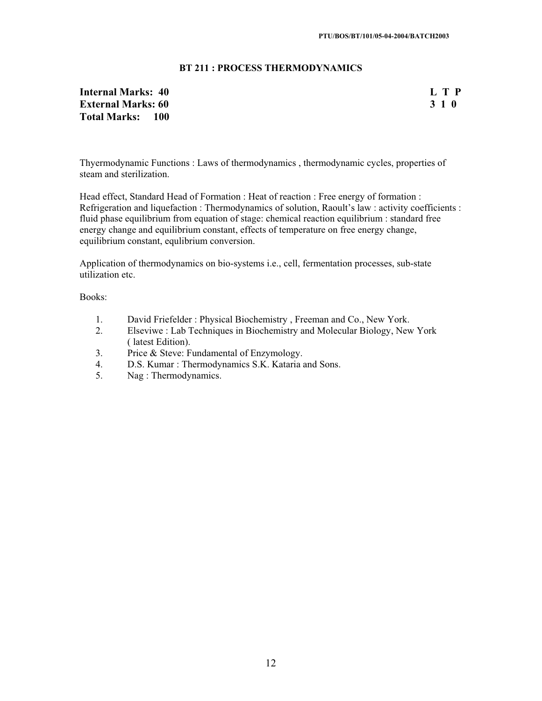# **BT 211 : PROCESS THERMODYNAMICS**

# **Internal Marks: 40 L T P L T P External Marks: 60 3 1 0 Total Marks: 100**

Thyermodynamic Functions : Laws of thermodynamics , thermodynamic cycles, properties of steam and sterilization.

Head effect, Standard Head of Formation : Heat of reaction : Free energy of formation : Refrigeration and liquefaction : Thermodynamics of solution, Raoult's law : activity coefficients : fluid phase equilibrium from equation of stage: chemical reaction equilibrium : standard free energy change and equilibrium constant, effects of temperature on free energy change, equilibrium constant, equlibrium conversion.

Application of thermodynamics on bio-systems i.e., cell, fermentation processes, sub-state utilization etc.

- 1. David Friefelder : Physical Biochemistry , Freeman and Co., New York.
- 2. Elseviwe : Lab Techniques in Biochemistry and Molecular Biology, New York ( latest Edition).
- 3. Price & Steve: Fundamental of Enzymology.
- 4. D.S. Kumar : Thermodynamics S.K. Kataria and Sons.<br>5. Nag : Thermodynamics.
- Nag : Thermodynamics.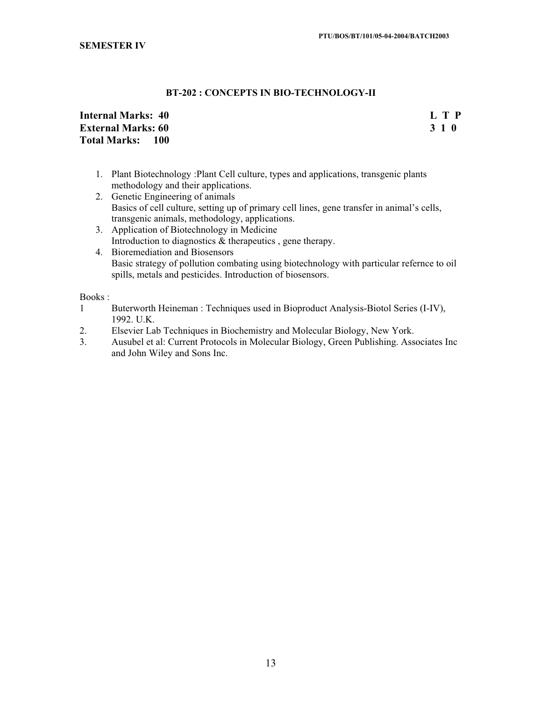# **BT-202 : CONCEPTS IN BIO-TECHNOLOGY-II**

# **Internal Marks: 40 L T P L T P External Marks: 60 3 1 0 Total Marks: 100**

- 1. Plant Biotechnology :Plant Cell culture, types and applications, transgenic plants methodology and their applications.
- 2. Genetic Engineering of animals Basics of cell culture, setting up of primary cell lines, gene transfer in animal's cells, transgenic animals, methodology, applications.
- 3. Application of Biotechnology in Medicine Introduction to diagnostics & therapeutics , gene therapy. 4. Bioremediation and Biosensors
- Basic strategy of pollution combating using biotechnology with particular refernce to oil spills, metals and pesticides. Introduction of biosensors.

- 1 Buterworth Heineman : Techniques used in Bioproduct Analysis-Biotol Series (I-IV), 1992. U.K.
- 2. Elsevier Lab Techniques in Biochemistry and Molecular Biology, New York.
- 3. Ausubel et al: Current Protocols in Molecular Biology, Green Publishing. Associates Inc and John Wiley and Sons Inc.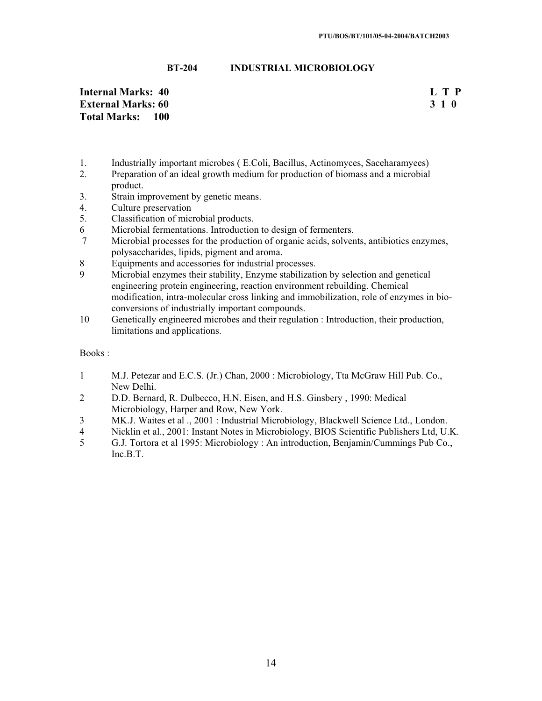**BT-204 INDUSTRIAL MICROBIOLOGY** 

**Internal Marks: 40 L T P External Marks: 60 3 1 0 Total Marks: 100** 

- 1. Industrially important microbes ( E.Coli, Bacillus, Actinomyces, Saceharamyees)
- 2. Preparation of an ideal growth medium for production of biomass and a microbial product.
- 3. Strain improvement by genetic means.
- 4. Culture preservation<br>5. Classification of mic
- 5. Classification of microbial products.
- 6 Microbial fermentations. Introduction to design of fermenters.
- 7 Microbial processes for the production of organic acids, solvents, antibiotics enzymes, polysaccharides, lipids, pigment and aroma.
- 8 Equipments and accessories for industrial processes.
- 9 Microbial enzymes their stability, Enzyme stabilization by selection and genetical engineering protein engineering, reaction environment rebuilding. Chemical modification, intra-molecular cross linking and immobilization, role of enzymes in bioconversions of industrially important compounds.
- 10 Genetically engineered microbes and their regulation : Introduction, their production, limitations and applications.

- 1 M.J. Petezar and E.C.S. (Jr.) Chan, 2000 : Microbiology, Tta McGraw Hill Pub. Co., New Delhi.
- 2 D.D. Bernard, R. Dulbecco, H.N. Eisen, and H.S. Ginsbery , 1990: Medical Microbiology, Harper and Row, New York.
- 3 MK.J. Waites et al ., 2001 : Industrial Microbiology, Blackwell Science Ltd., London.
- 4 Nicklin et al., 2001: Instant Notes in Microbiology, BIOS Scientific Publishers Ltd, U.K.
- 5 G.J. Tortora et al 1995: Microbiology : An introduction, Benjamin/Cummings Pub Co., Inc.B.T.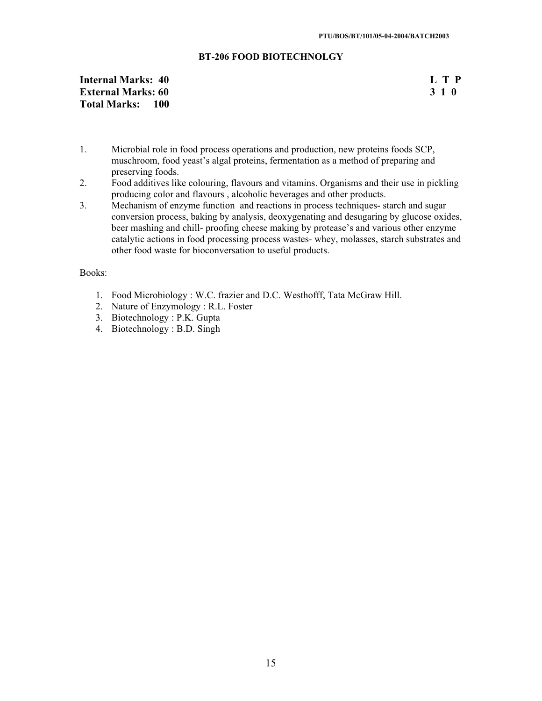# **BT-206 FOOD BIOTECHNOLGY**

# **Internal Marks: 40 L T P External Marks: 60 3 1 0 Total Marks: 100**

- 1. Microbial role in food process operations and production, new proteins foods SCP, muschroom, food yeast's algal proteins, fermentation as a method of preparing and preserving foods.
- 2. Food additives like colouring, flavours and vitamins. Organisms and their use in pickling producing color and flavours , alcoholic beverages and other products.
- 3. Mechanism of enzyme function and reactions in process techniques- starch and sugar conversion process, baking by analysis, deoxygenating and desugaring by glucose oxides, beer mashing and chill- proofing cheese making by protease's and various other enzyme catalytic actions in food processing process wastes- whey, molasses, starch substrates and other food waste for bioconversation to useful products.

- 1. Food Microbiology : W.C. frazier and D.C. Westhofff, Tata McGraw Hill.
- 2. Nature of Enzymology : R.L. Foster
- 3. Biotechnology : P.K. Gupta
- 4. Biotechnology : B.D. Singh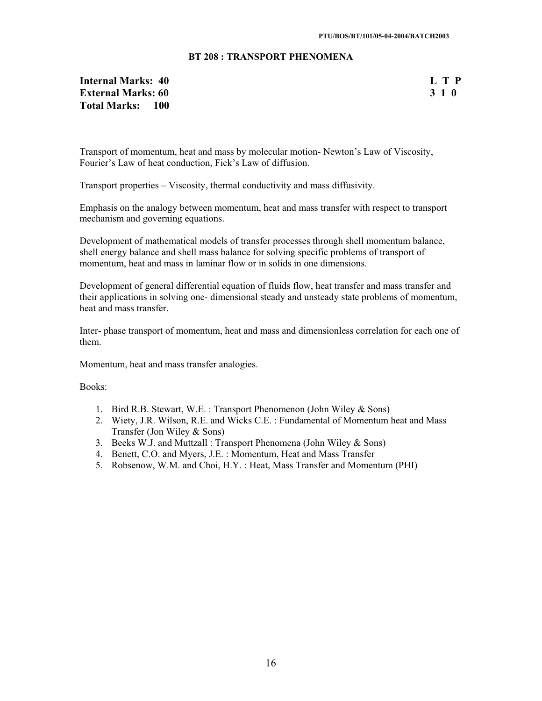# **BT 208 : TRANSPORT PHENOMENA**

# **Internal Marks: 40** L T P<br> **External Marks: 60** 3 1 0 **External Marks: 60 Total Marks: 100**

Transport of momentum, heat and mass by molecular motion- Newton's Law of Viscosity, Fourier's Law of heat conduction, Fick's Law of diffusion.

Transport properties – Viscosity, thermal conductivity and mass diffusivity.

Emphasis on the analogy between momentum, heat and mass transfer with respect to transport mechanism and governing equations.

Development of mathematical models of transfer processes through shell momentum balance, shell energy balance and shell mass balance for solving specific problems of transport of momentum, heat and mass in laminar flow or in solids in one dimensions.

Development of general differential equation of fluids flow, heat transfer and mass transfer and their applications in solving one- dimensional steady and unsteady state problems of momentum, heat and mass transfer.

Inter- phase transport of momentum, heat and mass and dimensionless correlation for each one of them.

Momentum, heat and mass transfer analogies.

- 1. Bird R.B. Stewart, W.E. : Transport Phenomenon (John Wiley & Sons)
- 2. Wiety, J.R. Wilson, R.E. and Wicks C.E. : Fundamental of Momentum heat and Mass Transfer (Jon Wiley & Sons)
- 3. Beeks W.J. and Muttzall : Transport Phenomena (John Wiley & Sons)
- 4. Benett, C.O. and Myers, J.E. : Momentum, Heat and Mass Transfer
- 5. Robsenow, W.M. and Choi, H.Y. : Heat, Mass Transfer and Momentum (PHI)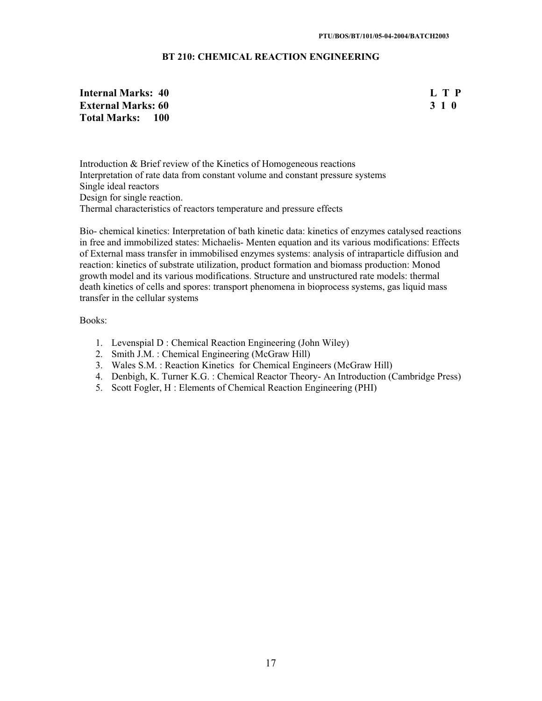# **BT 210: CHEMICAL REACTION ENGINEERING**

# **Internal Marks: 40 L T P External Marks: 60 3 1 0 3 2 3 3 4 6 3 4 5 4 4 4 4 4 5 4 7 4 4 5 4 4 5 4 7 6 4 7 4 5 6 7 7 8 7 7 8 7 7 8 7 7 8 7 8 7 7 8 7 7 8 7 7 8 7 8 7 7 8 7 7 8 7 7 8 7 8 7 7 8 7 7 8 7 7 8 7 7 8 7 7 8 7 7 8 7 7 8 7 7 8 7 7 8 7 7 8 7 Total Marks: 100**

Introduction & Brief review of the Kinetics of Homogeneous reactions Interpretation of rate data from constant volume and constant pressure systems Single ideal reactors Design for single reaction. Thermal characteristics of reactors temperature and pressure effects

Bio- chemical kinetics: Interpretation of bath kinetic data: kinetics of enzymes catalysed reactions in free and immobilized states: Michaelis- Menten equation and its various modifications: Effects of External mass transfer in immobilised enzymes systems: analysis of intraparticle diffusion and reaction: kinetics of substrate utilization, product formation and biomass production: Monod growth model and its various modifications. Structure and unstructured rate models: thermal death kinetics of cells and spores: transport phenomena in bioprocess systems, gas liquid mass transfer in the cellular systems

- 1. Levenspial D : Chemical Reaction Engineering (John Wiley)
- 2. Smith J.M. : Chemical Engineering (McGraw Hill)
- 3. Wales S.M. : Reaction Kinetics for Chemical Engineers (McGraw Hill)
- 4. Denbigh, K. Turner K.G. : Chemical Reactor Theory- An Introduction (Cambridge Press)
- 5. Scott Fogler, H : Elements of Chemical Reaction Engineering (PHI)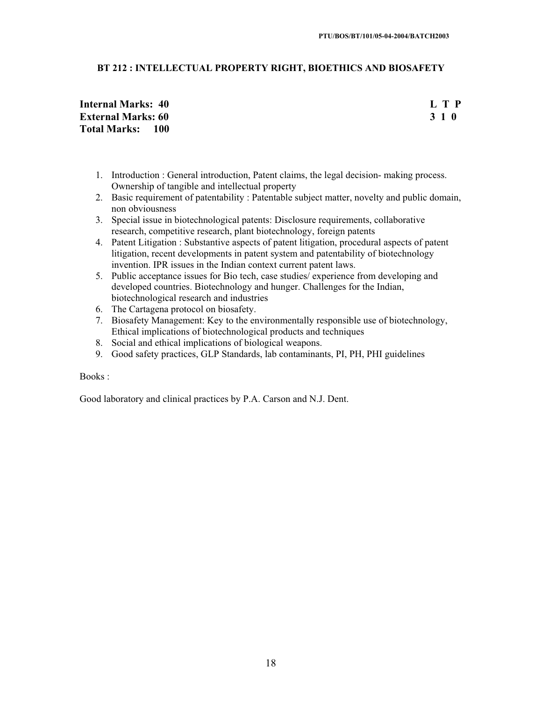# **BT 212 : INTELLECTUAL PROPERTY RIGHT, BIOETHICS AND BIOSAFETY**

# **Internal Marks: 40 L T P External Marks: 60 3 1 0 3 2 3 3 4 6 3 4 5 4 5 4 7 4 7 4 7 4 7 4 7 4 7 7 7 7 8 7 7 8 7 7 8 7 7 8 7 7 8 7 7 8 7 8 7 7 8 7 7 8 7 7 8 7 7 8 7 7 8 7 7 8 7 7 8 7 7 8 7 7 8 7 7 8 7 7 8 7 7 8 7 7 8 7 7 8 7 7 8 7 7 8 7 7 8 7 7 8 Total Marks: 100**

- 1. Introduction : General introduction, Patent claims, the legal decision- making process. Ownership of tangible and intellectual property
- 2. Basic requirement of patentability : Patentable subject matter, novelty and public domain, non obviousness
- 3. Special issue in biotechnological patents: Disclosure requirements, collaborative research, competitive research, plant biotechnology, foreign patents
- 4. Patent Litigation : Substantive aspects of patent litigation, procedural aspects of patent litigation, recent developments in patent system and patentability of biotechnology invention. IPR issues in the Indian context current patent laws.
- 5. Public acceptance issues for Bio tech, case studies/ experience from developing and developed countries. Biotechnology and hunger. Challenges for the Indian, biotechnological research and industries
- 6. The Cartagena protocol on biosafety.
- 7. Biosafety Management: Key to the environmentally responsible use of biotechnology, Ethical implications of biotechnological products and techniques
- 8. Social and ethical implications of biological weapons.
- 9. Good safety practices, GLP Standards, lab contaminants, PI, PH, PHI guidelines

### Books :

Good laboratory and clinical practices by P.A. Carson and N.J. Dent.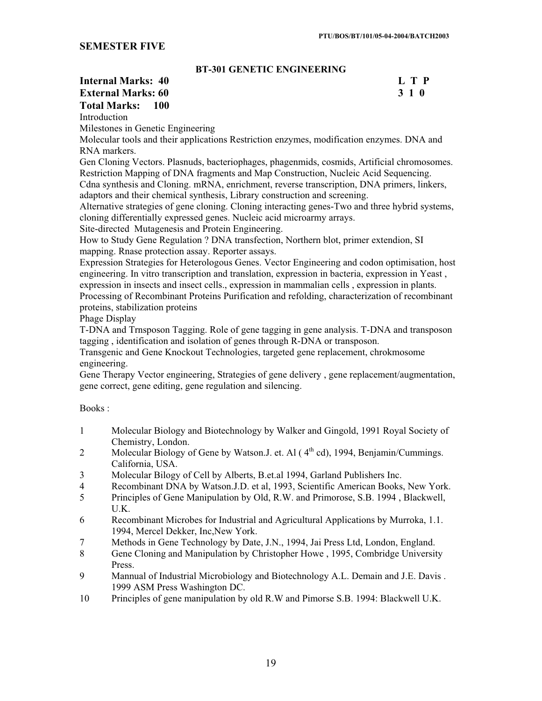# **SEMESTER FIVE**

# **BT-301 GENETIC ENGINEERING**

# **Internal Marks: 40 L T P L T P External Marks: 60 3 1 0 3 2 3 3 4 6 3 4 5 4 4 4 4 4 5 4 7 4 5 4 5 4 7 6 7 7 8 7 7 8 7 7 8 7 7 8 7 7 8 7 7 8 7 8 7 7 8 7 7 8 7 7 8 7 7 8 7 7 8 7 7 8 7 7 8 7 7 8 7 7 8 7 7 8 7 7 8 7 7 8 7 7 8 7 7 8 7 7 8 7 7 8 7 7 8 7 7 8 Total Marks: 100** Introduction

Milestones in Genetic Engineering

Molecular tools and their applications Restriction enzymes, modification enzymes. DNA and RNA markers.

Gen Cloning Vectors. Plasnuds, bacteriophages, phagenmids, cosmids, Artificial chromosomes. Restriction Mapping of DNA fragments and Map Construction, Nucleic Acid Sequencing. Cdna synthesis and Cloning. mRNA, enrichment, reverse transcription, DNA primers, linkers, adaptors and their chemical synthesis, Library construction and screening.

Alternative strategies of gene cloning. Cloning interacting genes-Two and three hybrid systems, cloning differentially expressed genes. Nucleic acid microarmy arrays.

Site-directed Mutagenesis and Protein Engineering.

How to Study Gene Regulation ? DNA transfection, Northern blot, primer extendion, SI mapping. Rnase protection assay. Reporter assays.

Expression Strategies for Heterologous Genes. Vector Engineering and codon optimisation, host engineering. In vitro transcription and translation, expression in bacteria, expression in Yeast , expression in insects and insect cells., expression in mammalian cells, expression in plants.

Processing of Recombinant Proteins Purification and refolding, characterization of recombinant proteins, stabilization proteins

Phage Display

T-DNA and Trnsposon Tagging. Role of gene tagging in gene analysis. T-DNA and transposon tagging , identification and isolation of genes through R-DNA or transposon.

Transgenic and Gene Knockout Technologies, targeted gene replacement, chrokmosome engineering.

Gene Therapy Vector engineering, Strategies of gene delivery , gene replacement/augmentation, gene correct, gene editing, gene regulation and silencing.

- 1 Molecular Biology and Biotechnology by Walker and Gingold, 1991 Royal Society of Chemistry, London.
- 2 Molecular Biology of Gene by Watson.J. et. Al  $(4<sup>th</sup> cd)$ , 1994, Benjamin/Cummings. California, USA.
- 3 Molecular Bilogy of Cell by Alberts, B.et.al 1994, Garland Publishers Inc.
- 4 Recombinant DNA by Watson.J.D. et al, 1993, Scientific American Books, New York.
- 5 Principles of Gene Manipulation by Old, R.W. and Primorose, S.B. 1994 , Blackwell, U.K.
- 6 Recombinant Microbes for Industrial and Agricultural Applications by Murroka, 1.1. 1994, Mercel Dekker, Inc,New York.
- 7 Methods in Gene Technology by Date, J.N., 1994, Jai Press Ltd, London, England.
- 8 Gene Cloning and Manipulation by Christopher Howe , 1995, Combridge University Press.
- 9 Mannual of Industrial Microbiology and Biotechnology A.L. Demain and J.E. Davis . 1999 ASM Press Washington DC.
- 10 Principles of gene manipulation by old R.W and Pimorse S.B. 1994: Blackwell U.K.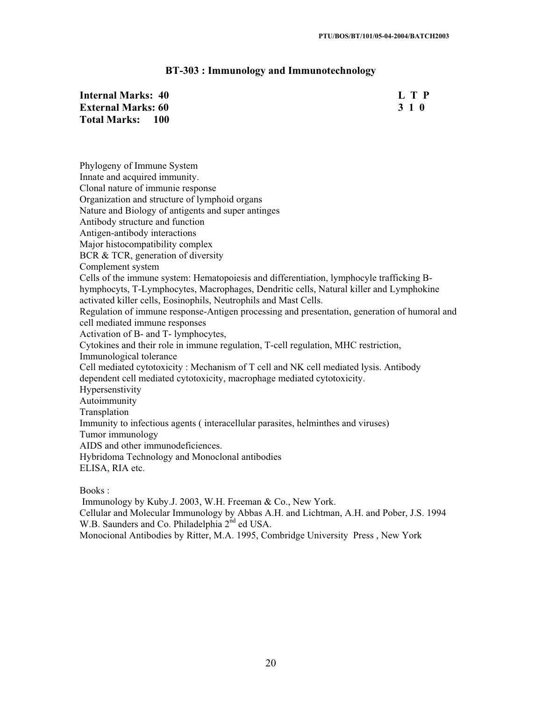# **BT-303 : Immunology and Immunotechnology**

| <b>Internal Marks: 40</b>         | L T P |
|-----------------------------------|-------|
| <b>External Marks: 60</b>         | 3 1 0 |
| <b>Total Marks:</b><br><b>100</b> |       |

Phylogeny of Immune System Innate and acquired immunity. Clonal nature of immunie response Organization and structure of lymphoid organs Nature and Biology of antigents and super antinges Antibody structure and function Antigen-antibody interactions Major histocompatibility complex BCR & TCR, generation of diversity Complement system Cells of the immune system: Hematopoiesis and differentiation, lymphocyle trafficking Bhymphocyts, T-Lymphocytes, Macrophages, Dendritic cells, Natural killer and Lymphokine activated killer cells, Eosinophils, Neutrophils and Mast Cells. Regulation of immune response-Antigen processing and presentation, generation of humoral and cell mediated immune responses Activation of B- and T- lymphocytes, Cytokines and their role in immune regulation, T-cell regulation, MHC restriction, Immunological tolerance Cell mediated cytotoxicity : Mechanism of T cell and NK cell mediated lysis. Antibody dependent cell mediated cytotoxicity, macrophage mediated cytotoxicity. Hypersenstivity Autoimmunity Transplation Immunity to infectious agents ( interacellular parasites, helminthes and viruses) Tumor immunology AIDS and other immunodeficiences. Hybridoma Technology and Monoclonal antibodies ELISA, RIA etc.

Books :

Immunology by Kuby.J. 2003, W.H. Freeman & Co., New York.

Cellular and Molecular Immunology by Abbas A.H. and Lichtman, A.H. and Pober, J.S. 1994 W.B. Saunders and Co. Philadelphia 2<sup>nd</sup> ed USA.

Monocional Antibodies by Ritter, M.A. 1995, Combridge University Press , New York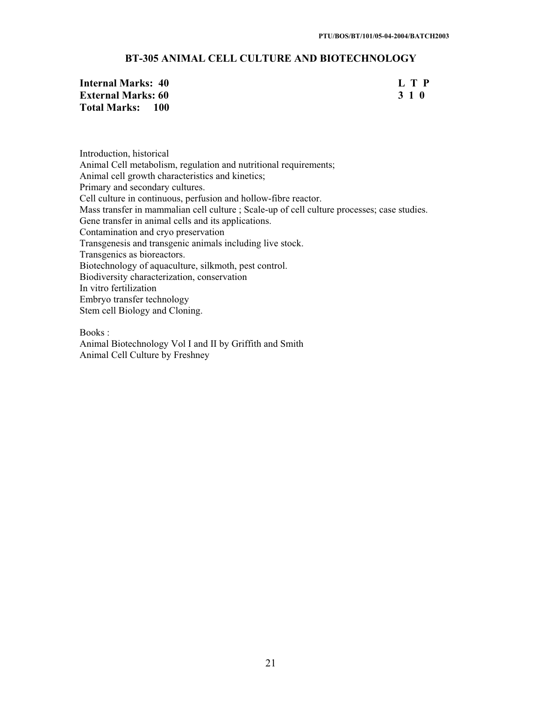# **BT-305 ANIMAL CELL CULTURE AND BIOTECHNOLOGY**

| Internal Marks: 40        | L T P |
|---------------------------|-------|
| <b>External Marks: 60</b> | 310   |
| Total Marks: 100          |       |

Introduction, historical Animal Cell metabolism, regulation and nutritional requirements; Animal cell growth characteristics and kinetics; Primary and secondary cultures. Cell culture in continuous, perfusion and hollow-fibre reactor. Mass transfer in mammalian cell culture ; Scale-up of cell culture processes; case studies. Gene transfer in animal cells and its applications. Contamination and cryo preservation Transgenesis and transgenic animals including live stock. Transgenics as bioreactors. Biotechnology of aquaculture, silkmoth, pest control. Biodiversity characterization, conservation In vitro fertilization Embryo transfer technology Stem cell Biology and Cloning.

Books :

Animal Biotechnology Vol I and II by Griffith and Smith Animal Cell Culture by Freshney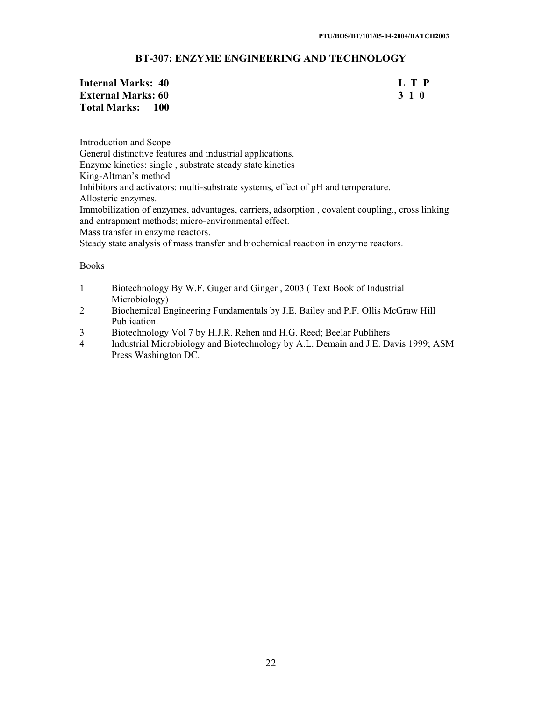# **BT-307: ENZYME ENGINEERING AND TECHNOLOGY**

| Internal Marks: 40        | L T P |
|---------------------------|-------|
| <b>External Marks: 60</b> | 3 1 0 |
| Total Marks: 100          |       |

Introduction and Scope General distinctive features and industrial applications. Enzyme kinetics: single , substrate steady state kinetics King-Altman's method Inhibitors and activators: multi-substrate systems, effect of pH and temperature. Allosteric enzymes. Immobilization of enzymes, advantages, carriers, adsorption , covalent coupling., cross linking and entrapment methods; micro-environmental effect. Mass transfer in enzyme reactors. Steady state analysis of mass transfer and biochemical reaction in enzyme reactors.

- 1 Biotechnology By W.F. Guger and Ginger , 2003 ( Text Book of Industrial Microbiology)
- 2 Biochemical Engineering Fundamentals by J.E. Bailey and P.F. Ollis McGraw Hill Publication.
- 3 Biotechnology Vol 7 by H.J.R. Rehen and H.G. Reed; Beelar Publihers
- 4 Industrial Microbiology and Biotechnology by A.L. Demain and J.E. Davis 1999; ASM Press Washington DC.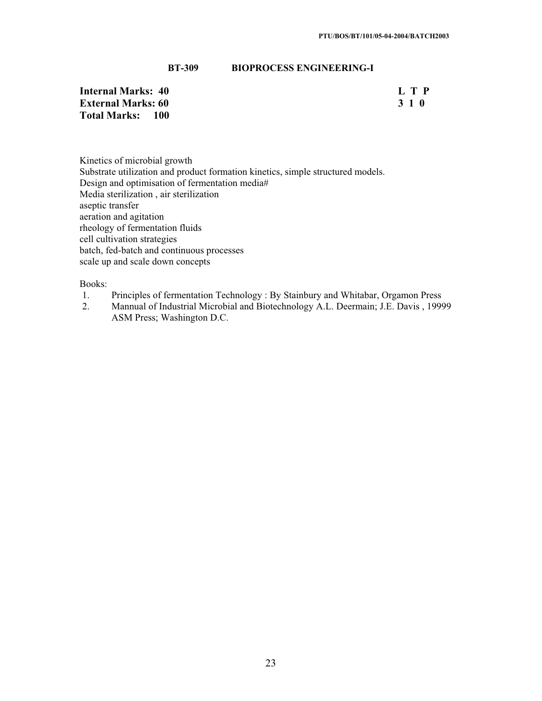# **BT-309 BIOPROCESS ENGINEERING-I**

**Internal Marks: 40** L T P<br> **External Marks: 60** 3 1 0 **External Marks: 60 Total Marks: 100** 

Kinetics of microbial growth Substrate utilization and product formation kinetics, simple structured models. Design and optimisation of fermentation media# Media sterilization , air sterilization aseptic transfer aeration and agitation rheology of fermentation fluids cell cultivation strategies batch, fed-batch and continuous processes scale up and scale down concepts

- 1. Principles of fermentation Technology : By Stainbury and Whitabar, Orgamon Press
- 2. Mannual of Industrial Microbial and Biotechnology A.L. Deermain; J.E. Davis , 19999 ASM Press; Washington D.C.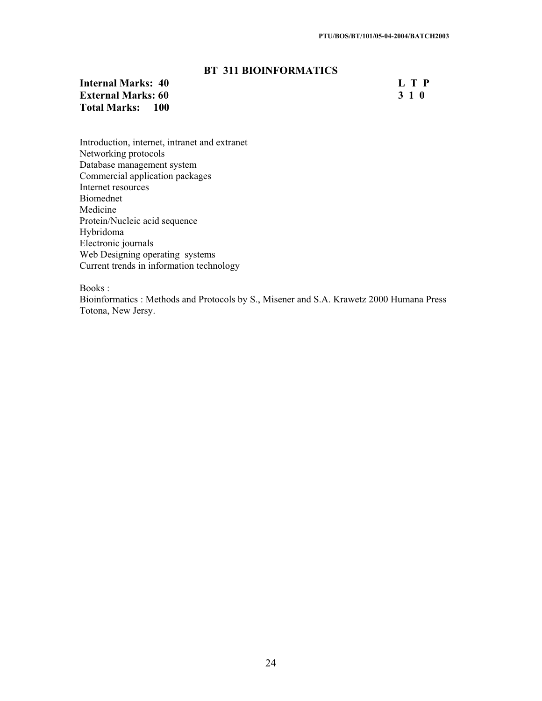# **BT 311 BIOINFORMATICS**

# **Internal Marks: 40 L T P**<br>**External Marks: 60 S 1 O External Marks: 60 Total Marks: 100**

Introduction, internet, intranet and extranet Networking protocols Database management system Commercial application packages Internet resources Biomednet Medicine Protein/Nucleic acid sequence Hybridoma Electronic journals Web Designing operating systems Current trends in information technology

Books :

Bioinformatics : Methods and Protocols by S., Misener and S.A. Krawetz 2000 Humana Press Totona, New Jersy.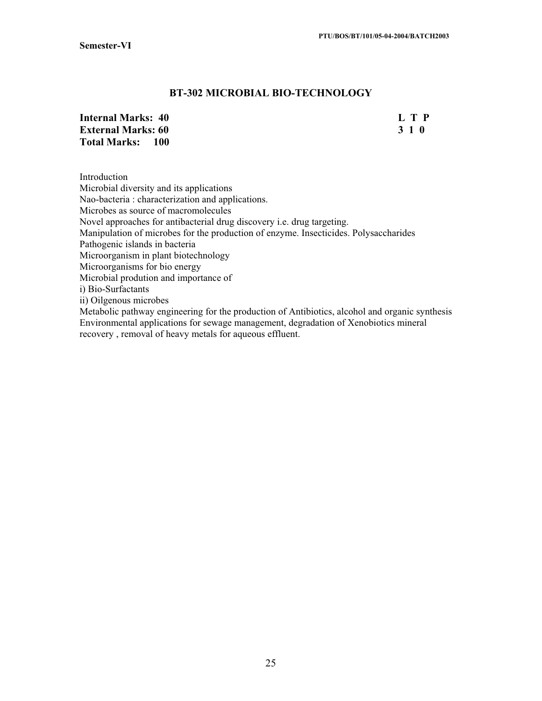# **BT-302 MICROBIAL BIO-TECHNOLOGY**

| <b>Internal Marks: 40</b> | L T P |
|---------------------------|-------|
| <b>External Marks: 60</b> | 3 1 0 |
| <b>Total Marks: 100</b>   |       |

Introduction Microbial diversity and its applications Nao-bacteria : characterization and applications. Microbes as source of macromolecules Novel approaches for antibacterial drug discovery i.e. drug targeting. Manipulation of microbes for the production of enzyme. Insecticides. Polysaccharides Pathogenic islands in bacteria Microorganism in plant biotechnology Microorganisms for bio energy Microbial prodution and importance of i) Bio-Surfactants ii) Oilgenous microbes Metabolic pathway engineering for the production of Antibiotics, alcohol and organic synthesis

Environmental applications for sewage management, degradation of Xenobiotics mineral recovery , removal of heavy metals for aqueous effluent.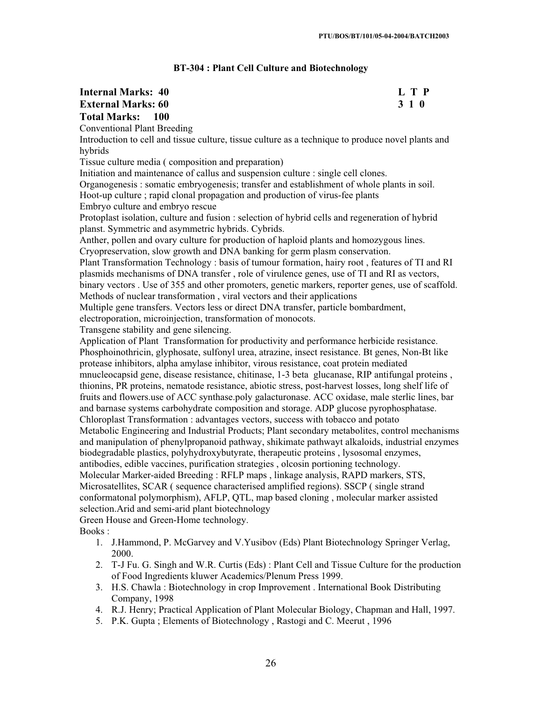# **BT-304 : Plant Cell Culture and Biotechnology**

# **Internal Marks: 40 L T P L T P External Marks: 60 3 1 0 Total Marks: 100**

Conventional Plant Breeding

Introduction to cell and tissue culture, tissue culture as a technique to produce novel plants and hybrids

Tissue culture media ( composition and preparation)

Initiation and maintenance of callus and suspension culture : single cell clones.

Organogenesis : somatic embryogenesis; transfer and establishment of whole plants in soil.

Hoot-up culture ; rapid clonal propagation and production of virus-fee plants

Embryo culture and embryo rescue

Protoplast isolation, culture and fusion : selection of hybrid cells and regeneration of hybrid planst. Symmetric and asymmetric hybrids. Cybrids.

Anther, pollen and ovary culture for production of haploid plants and homozygous lines. Cryopreservation, slow growth and DNA banking for germ plasm conservation.

Plant Transformation Technology : basis of tumour formation, hairy root , features of TI and RI plasmids mechanisms of DNA transfer , role of virulence genes, use of TI and RI as vectors,

binary vectors . Use of 355 and other promoters, genetic markers, reporter genes, use of scaffold. Methods of nuclear transformation , viral vectors and their applications

Multiple gene transfers. Vectors less or direct DNA transfer, particle bombardment,

electroporation, microinjection, transformation of monocots.

Transgene stability and gene silencing.

Application of Plant Transformation for productivity and performance herbicide resistance. Phosphoinothricin, glyphosate, sulfonyl urea, atrazine, insect resistance. Bt genes, Non-Bt like protease inhibitors, alpha amylase inhibitor, virous resistance, coat protein mediated mnucleocapsid gene, disease resistance, chitinase, 1-3 beta glucanase, RIP antifungal proteins , thionins, PR proteins, nematode resistance, abiotic stress, post-harvest losses, long shelf life of fruits and flowers.use of ACC synthase.poly galacturonase. ACC oxidase, male sterlic lines, bar and barnase systems carbohydrate composition and storage. ADP glucose pyrophosphatase. Chloroplast Transformation : advantages vectors, success with tobacco and potato Metabolic Engineering and Industrial Products; Plant secondary metabolites, control mechanisms and manipulation of phenylpropanoid pathway, shikimate pathwayt alkaloids, industrial enzymes biodegradable plastics, polyhydroxybutyrate, therapeutic proteins , lysosomal enzymes, antibodies, edible vaccines, purification strategies , olcosin portioning technology. Molecular Marker-aided Breeding : RFLP maps , linkage analysis, RAPD markers, STS, Microsatellites, SCAR ( sequence characterised amplified regions). SSCP ( single strand conformatonal polymorphism), AFLP, QTL, map based cloning , molecular marker assisted

selection.Arid and semi-arid plant biotechnology

Green House and Green-Home technology.

- 1. J.Hammond, P. McGarvey and V.Yusibov (Eds) Plant Biotechnology Springer Verlag, 2000.
- 2. T-J Fu. G. Singh and W.R. Curtis (Eds) : Plant Cell and Tissue Culture for the production of Food Ingredients kluwer Academics/Plenum Press 1999.
- 3. H.S. Chawla : Biotechnology in crop Improvement . International Book Distributing Company, 1998
- 4. R.J. Henry; Practical Application of Plant Molecular Biology, Chapman and Hall, 1997.
- 5. P.K. Gupta ; Elements of Biotechnology , Rastogi and C. Meerut , 1996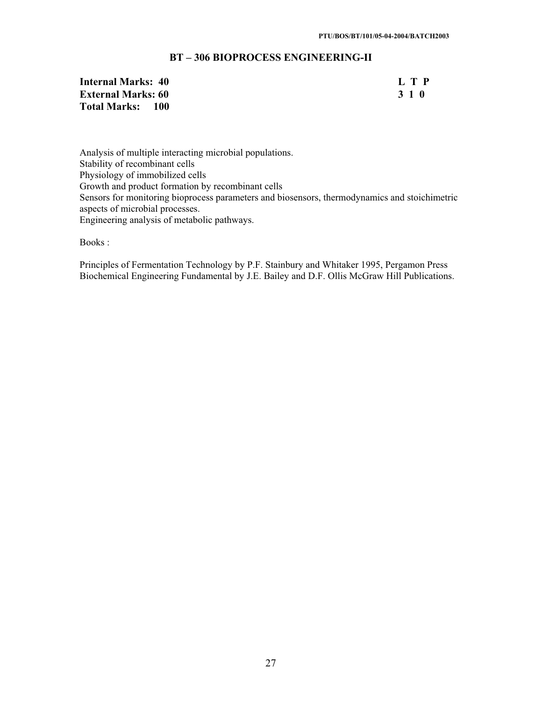# **BT – 306 BIOPROCESS ENGINEERING-II**

# **Internal Marks: 40** L T P<br> **External Marks: 60** 3 1 0 **External Marks: 60 Total Marks: 100**

Analysis of multiple interacting microbial populations. Stability of recombinant cells Physiology of immobilized cells Growth and product formation by recombinant cells Sensors for monitoring bioprocess parameters and biosensors, thermodynamics and stoichimetric aspects of microbial processes. Engineering analysis of metabolic pathways.

Books :

Principles of Fermentation Technology by P.F. Stainbury and Whitaker 1995, Pergamon Press Biochemical Engineering Fundamental by J.E. Bailey and D.F. Ollis McGraw Hill Publications.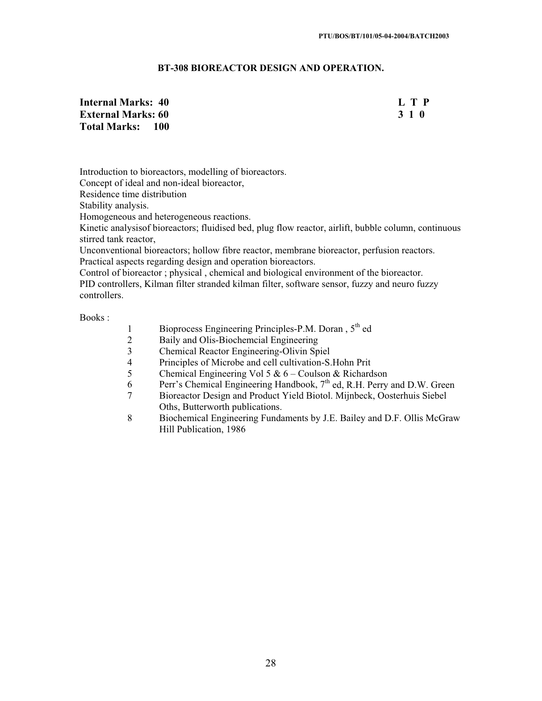## **BT-308 BIOREACTOR DESIGN AND OPERATION.**

**Internal Marks: 40 L T P External Marks: 60 3 1 0 Total Marks: 100** 

Introduction to bioreactors, modelling of bioreactors.

Concept of ideal and non-ideal bioreactor,

Residence time distribution

Stability analysis.

Homogeneous and heterogeneous reactions.

Kinetic analysisof bioreactors; fluidised bed, plug flow reactor, airlift, bubble column, continuous stirred tank reactor,

Unconventional bioreactors; hollow fibre reactor, membrane bioreactor, perfusion reactors. Practical aspects regarding design and operation bioreactors.

Control of bioreactor ; physical , chemical and biological environment of the bioreactor. PID controllers, Kilman filter stranded kilman filter, software sensor, fuzzy and neuro fuzzy controllers.

- 1 Bioprocess Engineering Principles-P.M. Doran, 5<sup>th</sup> ed
- 2 Baily and Olis-Biochemcial Engineering<br>3 Chemical Reactor Engineering-Olivin Sp
- 3 Chemical Reactor Engineering-Olivin Spiel
- 4 Principles of Microbe and cell cultivation-S.Hohn Prit<br>5 Chemical Engineering Vol 5 &  $6 -$ Coulson & Richard
- Chemical Engineering Vol 5  $& 6 -$ Coulson & Richardson
- 6 Perr's Chemical Engineering Handbook,  $7<sup>th</sup>$  ed, R.H. Perry and D.W. Green
- 7 Bioreactor Design and Product Yield Biotol. Mijnbeck, Oosterhuis Siebel Oths, Butterworth publications.
- 8 Biochemical Engineering Fundaments by J.E. Bailey and D.F. Ollis McGraw Hill Publication, 1986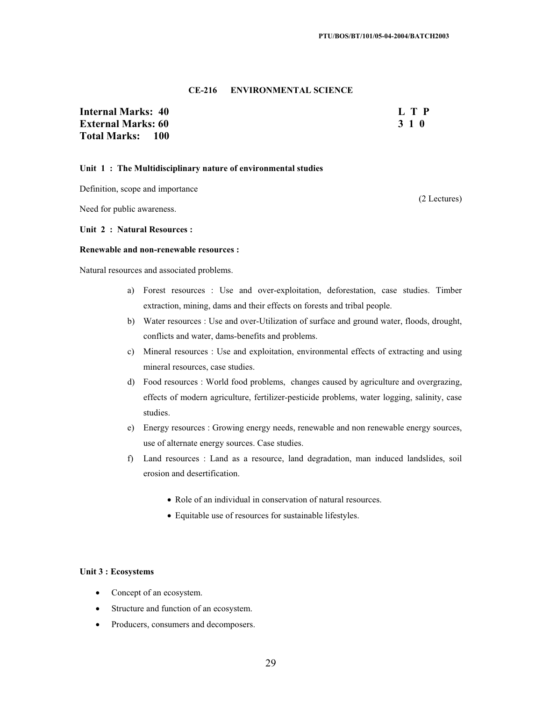#### **CE-216 ENVIRONMENTAL SCIENCE**

# **Total Marks: 100**

# **Internal Marks: 40 L T P L T P External Marks: 60 3 1 0 3 2 3 3 4 6 3 4 5 4 4 4 4 4 4 5 4 4 5 4 4 5 4 5 4 6 4 5 6 7 6 7 7 8 4 7 6 7 7 8 7 7 8 7 8 7 7 8 7 7 8 7 7 8 7 7 8 7 7 8 7 7 8 7 7 8 7 7 8 7 7 8 7 7 8 7 7 8 7 7 8 7 7 8 7 7 8 7 7 8 7 7 8 7 7 8 7 7**

#### **Unit 1 : The Multidisciplinary nature of environmental studies**

Definition, scope and importance

Need for public awareness.

#### **Unit 2 : Natural Resources :**

#### **Renewable and non-renewable resources :**

Natural resources and associated problems.

- a) Forest resources : Use and over-exploitation, deforestation, case studies. Timber extraction, mining, dams and their effects on forests and tribal people.
- b) Water resources : Use and over-Utilization of surface and ground water, floods, drought, conflicts and water, dams-benefits and problems.
- c) Mineral resources : Use and exploitation, environmental effects of extracting and using mineral resources, case studies.
- d) Food resources : World food problems, changes caused by agriculture and overgrazing, effects of modern agriculture, fertilizer-pesticide problems, water logging, salinity, case studies.
- e) Energy resources : Growing energy needs, renewable and non renewable energy sources, use of alternate energy sources. Case studies.
- f) Land resources : Land as a resource, land degradation, man induced landslides, soil erosion and desertification.
	- Role of an individual in conservation of natural resources.
	- x Equitable use of resources for sustainable lifestyles.

#### **Unit 3 : Ecosystems**

- Concept of an ecosystem.
- Structure and function of an ecosystem.
- Producers, consumers and decomposers.

(2 Lectures)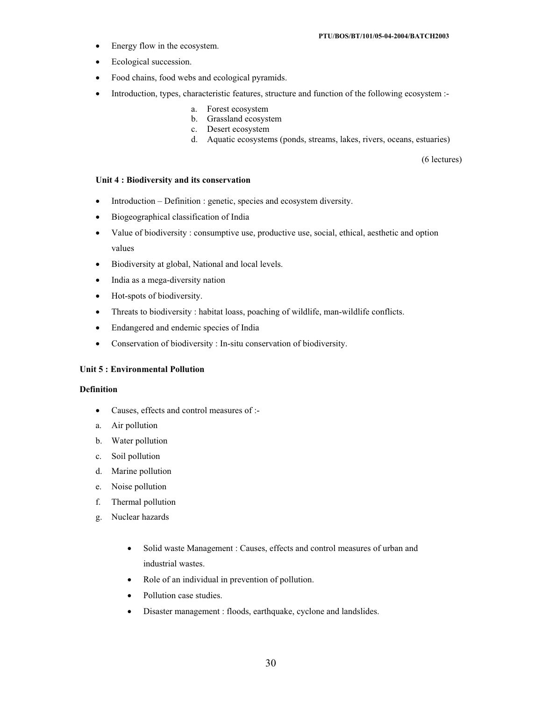- Energy flow in the ecosystem.
- Ecological succession.
- Food chains, food webs and ecological pyramids.
- Introduction, types, characteristic features, structure and function of the following ecosystem :
	- a. Forest ecosystem
	- b. Grassland ecosystem
	- c. Desert ecosystem
	- d. Aquatic ecosystems (ponds, streams, lakes, rivers, oceans, estuaries)

(6 lectures)

#### **Unit 4 : Biodiversity and its conservation**

- $\bullet$  Introduction Definition : genetic, species and ecosystem diversity.
- Biogeographical classification of India
- Value of biodiversity : consumptive use, productive use, social, ethical, aesthetic and option values
- Biodiversity at global, National and local levels.
- India as a mega-diversity nation
- Hot-spots of biodiversity.
- Threats to biodiversity : habitat loass, poaching of wildlife, man-wildlife conflicts.
- Endangered and endemic species of India
- Conservation of biodiversity : In-situ conservation of biodiversity.

#### **Unit 5 : Environmental Pollution**

#### **Definition**

- Causes, effects and control measures of :-
- a. Air pollution
- b. Water pollution
- c. Soil pollution
- d. Marine pollution
- e. Noise pollution
- f. Thermal pollution
- g. Nuclear hazards
	- Solid waste Management : Causes, effects and control measures of urban and industrial wastes.
	- Role of an individual in prevention of pollution.
	- Pollution case studies.
	- Disaster management : floods, earthquake, cyclone and landslides.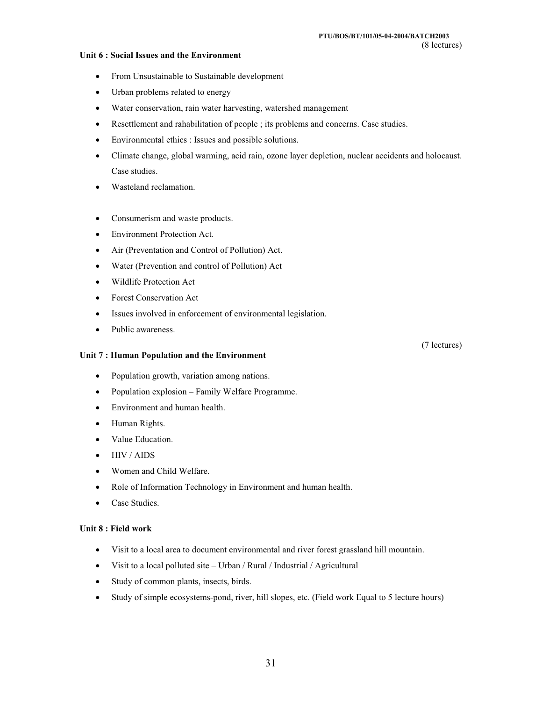#### **Unit 6 : Social Issues and the Environment**

- From Unsustainable to Sustainable development
- Urban problems related to energy
- Water conservation, rain water harvesting, watershed management
- Resettlement and rahabilitation of people ; its problems and concerns. Case studies.
- Environmental ethics : Issues and possible solutions.
- Climate change, global warming, acid rain, ozone layer depletion, nuclear accidents and holocaust. Case studies.
- Wasteland reclamation.
- Consumerism and waste products.
- Environment Protection Act.
- Air (Preventation and Control of Pollution) Act.
- Water (Prevention and control of Pollution) Act
- Wildlife Protection Act
- Forest Conservation Act
- Issues involved in enforcement of environmental legislation.
- Public awareness.

### **Unit 7 : Human Population and the Environment**

- Population growth, variation among nations.
- Population explosion Family Welfare Programme.
- Environment and human health.
- Human Rights.
- Value Education.
- $\bullet$  HIV / AIDS
- Women and Child Welfare.
- Role of Information Technology in Environment and human health.
- Case Studies.

### **Unit 8 : Field work**

- Visit to a local area to document environmental and river forest grassland hill mountain.
- $\bullet$  Visit to a local polluted site Urban / Rural / Industrial / Agricultural
- Study of common plants, insects, birds.
- Study of simple ecosystems-pond, river, hill slopes, etc. (Field work Equal to 5 lecture hours)

#### (7 lectures)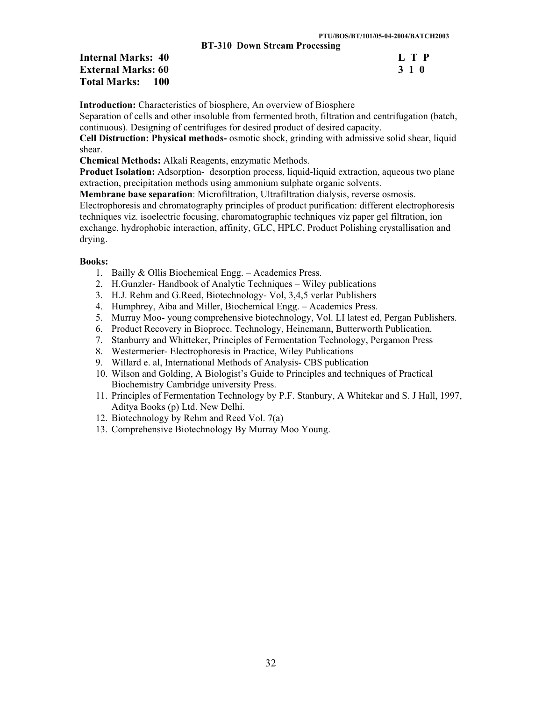**BT-310 Down Stream Processing** 

| <b>Internal Marks: 40</b> | L T P |
|---------------------------|-------|
| <b>External Marks: 60</b> | 3 1 0 |
| <b>Total Marks: 100</b>   |       |

|                      | L            | P            |
|----------------------|--------------|--------------|
| $\blacktriangleleft$ | $\mathbf{1}$ | $\mathbf{0}$ |

**Introduction:** Characteristics of biosphere, An overview of Biosphere

Separation of cells and other insoluble from fermented broth, filtration and centrifugation (batch, continuous). Designing of centrifuges for desired product of desired capacity.

**Cell Distruction: Physical methods-** osmotic shock, grinding with admissive solid shear, liquid shear.

**Chemical Methods:** Alkali Reagents, enzymatic Methods.

**Product Isolation:** Adsorption- desorption process, liquid-liquid extraction, aqueous two plane extraction, precipitation methods using ammonium sulphate organic solvents.

**Membrane base separation**: Microfiltration, Ultrafiltration dialysis, reverse osmosis.

Electrophoresis and chromatography principles of product purification: different electrophoresis techniques viz. isoelectric focusing, charomatographic techniques viz paper gel filtration, ion exchange, hydrophobic interaction, affinity, GLC, HPLC, Product Polishing crystallisation and drying.

- 1. Bailly & Ollis Biochemical Engg. Academics Press.
- 2. H.Gunzler- Handbook of Analytic Techniques Wiley publications
- 3. H.J. Rehm and G.Reed, Biotechnology- Vol, 3,4,5 verlar Publishers
- 4. Humphrey, Aiba and Miller, Biochemical Engg. Academics Press.
- 5. Murray Moo- young comprehensive biotechnology, Vol. LI latest ed, Pergan Publishers.
- 6. Product Recovery in Bioprocc. Technology, Heinemann, Butterworth Publication.
- 7. Stanburry and Whitteker, Principles of Fermentation Technology, Pergamon Press
- 8. Westermerier- Electrophoresis in Practice, Wiley Publications
- 9. Willard e. al, International Methods of Analysis- CBS publication
- 10. Wilson and Golding, A Biologist's Guide to Principles and techniques of Practical Biochemistry Cambridge university Press.
- 11. Principles of Fermentation Technology by P.F. Stanbury, A Whitekar and S. J Hall, 1997, Aditya Books (p) Ltd. New Delhi.
- 12. Biotechnology by Rehm and Reed Vol. 7(a)
- 13. Comprehensive Biotechnology By Murray Moo Young.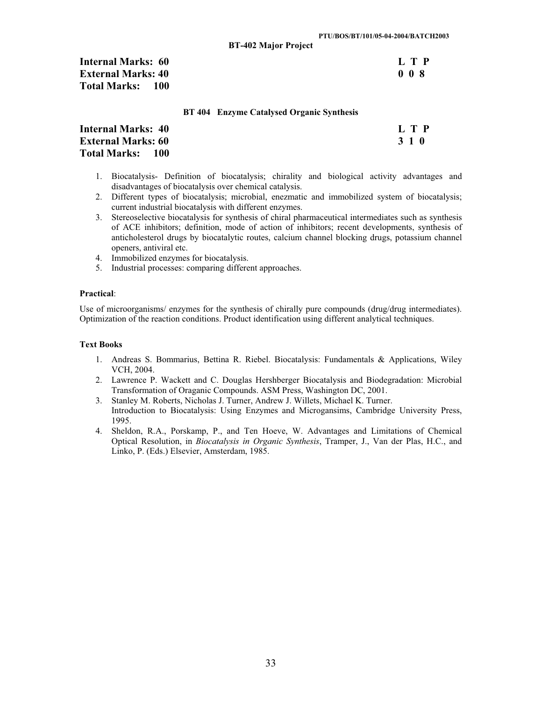| <b>Internal Marks: 60</b>    | L T P |
|------------------------------|-------|
| <b>External Marks: 40</b>    | 008   |
| <b>Total Marks:</b><br>- 100 |       |

#### **BT 404 Enzyme Catalysed Organic Synthesis**

| Internal Marks: 40        | L T P |
|---------------------------|-------|
| <b>External Marks: 60</b> | 310   |
| Total Marks: 100          |       |

- 1. Biocatalysis- Definition of biocatalysis; chirality and biological activity advantages and disadvantages of biocatalysis over chemical catalysis.
- 2. Different types of biocatalysis; microbial, enezmatic and immobilized system of biocatalysis; current industrial biocatalysis with different enzymes.
- 3. Stereoselective biocatalysis for synthesis of chiral pharmaceutical intermediates such as synthesis of ACE inhibitors; definition, mode of action of inhibitors; recent developments, synthesis of anticholesterol drugs by biocatalytic routes, calcium channel blocking drugs, potassium channel openers, antiviral etc.
- 4. Immobilized enzymes for biocatalysis.
- 5. Industrial processes: comparing different approaches.

#### **Practical**:

Use of microorganisms/ enzymes for the synthesis of chirally pure compounds (drug/drug intermediates). Optimization of the reaction conditions. Product identification using different analytical techniques.

- 1. Andreas S. Bommarius, Bettina R. Riebel. Biocatalysis: Fundamentals & Applications, Wiley VCH, 2004.
- 2. Lawrence P. Wackett and C. Douglas Hershberger Biocatalysis and Biodegradation: Microbial Transformation of Oraganic Compounds. ASM Press, Washington DC, 2001.
- 3. Stanley M. Roberts, Nicholas J. Turner, Andrew J. Willets, Michael K. Turner. Introduction to Biocatalysis: Using Enzymes and Microgansims, Cambridge University Press, 1995.
- 4. Sheldon, R.A., Porskamp, P., and Ten Hoeve, W. Advantages and Limitations of Chemical Optical Resolution, in *Biocatalysis in Organic Synthesis*, Tramper, J., Van der Plas, H.C., and Linko, P. (Eds.) Elsevier, Amsterdam, 1985.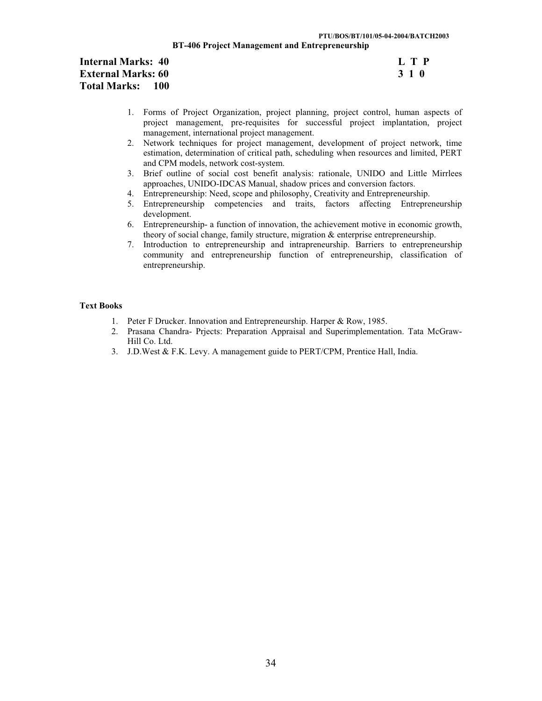#### **PTU/BOS/BT/101/05-04-2004/BATCH2003 BT-406 Project Management and Entrepreneurship**

# **Internal Marks: 40** L T P<br> **External Marks: 60** 3 1 0 **External Marks: 60 Total Marks: 100**

- 1. Forms of Project Organization, project planning, project control, human aspects of project management, pre-requisites for successful project implantation, project management, international project management.
- 2. Network techniques for project management, development of project network, time estimation, determination of critical path, scheduling when resources and limited, PERT and CPM models, network cost-system.
- 3. Brief outline of social cost benefit analysis: rationale, UNIDO and Little Mirrlees approaches, UNIDO-IDCAS Manual, shadow prices and conversion factors.
- 4. Entrepreneurship: Need, scope and philosophy, Creativity and Entrepreneurship.
- 5. Entrepreneurship competencies and traits, factors affecting Entrepreneurship development.
- 6. Entrepreneurship- a function of innovation, the achievement motive in economic growth, theory of social change, family structure, migration & enterprise entrepreneurship.
- 7. Introduction to entrepreneurship and intrapreneurship. Barriers to entrepreneurship community and entrepreneurship function of entrepreneurship, classification of entrepreneurship.

- 1. Peter F Drucker. Innovation and Entrepreneurship. Harper & Row, 1985.
- 2. Prasana Chandra- Prjects: Preparation Appraisal and Superimplementation. Tata McGraw-Hill Co. Ltd.
- 3. J.D.West & F.K. Levy. A management guide to PERT/CPM, Prentice Hall, India.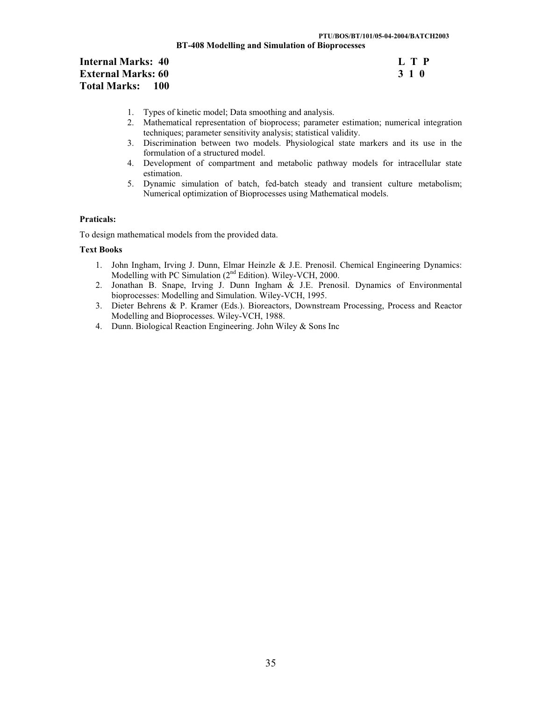# **Internal Marks: 40 External Marks: 60 Total Marks: 100**

| Ι. |       | $T$ P |
|----|-------|-------|
|    | 3 1 O |       |

- 1. Types of kinetic model; Data smoothing and analysis.
- 2. Mathematical representation of bioprocess; parameter estimation; numerical integration techniques; parameter sensitivity analysis; statistical validity.
- 3. Discrimination between two models. Physiological state markers and its use in the formulation of a structured model.
- 4. Development of compartment and metabolic pathway models for intracellular state estimation.
- 5. Dynamic simulation of batch, fed-batch steady and transient culture metabolism; Numerical optimization of Bioprocesses using Mathematical models.

### **Praticals:**

To design mathematical models from the provided data.

- 1. John Ingham, Irving J. Dunn, Elmar Heinzle & J.E. Prenosil. Chemical Engineering Dynamics: Modelling with PC Simulation (2nd Edition). Wiley-VCH, 2000.
- 2. Jonathan B. Snape, Irving J. Dunn Ingham & J.E. Prenosil. Dynamics of Environmental bioprocesses: Modelling and Simulation. Wiley-VCH, 1995.
- 3. Dieter Behrens & P. Kramer (Eds.). Bioreactors, Downstream Processing, Process and Reactor Modelling and Bioprocesses. Wiley-VCH, 1988.
- 4. Dunn. Biological Reaction Engineering. John Wiley & Sons Inc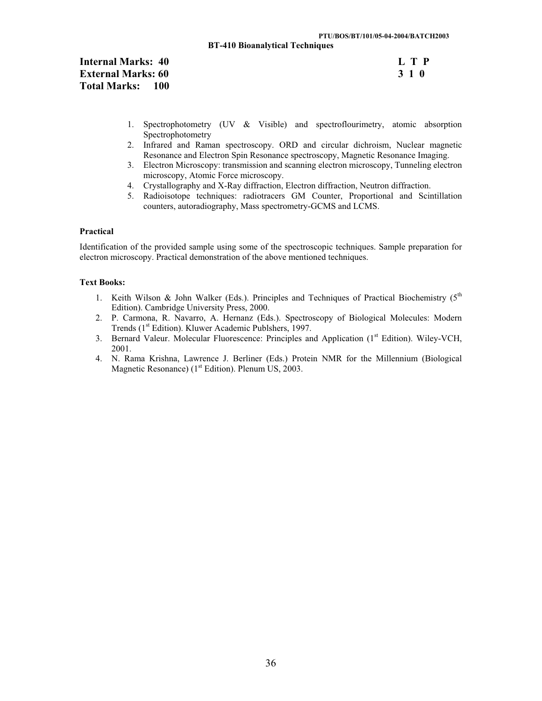**BT-410 Bioanalytical Techniques** 

| <b>Internal Marks: 40</b> | L T P |
|---------------------------|-------|
| <b>External Marks: 60</b> | 3 1 O |
| Total Marks: 100          |       |

- 1. Spectrophotometry (UV & Visible) and spectroflourimetry, atomic absorption Spectrophotometry
- 2. Infrared and Raman spectroscopy. ORD and circular dichroism, Nuclear magnetic Resonance and Electron Spin Resonance spectroscopy, Magnetic Resonance Imaging.
- 3. Electron Microscopy: transmission and scanning electron microscopy, Tunneling electron microscopy, Atomic Force microscopy.
- 4. Crystallography and X-Ray diffraction, Electron diffraction, Neutron diffraction.
- 5. Radioisotope techniques: radiotracers GM Counter, Proportional and Scintillation counters, autoradiography, Mass spectrometry-GCMS and LCMS.

### **Practical**

Identification of the provided sample using some of the spectroscopic techniques. Sample preparation for electron microscopy. Practical demonstration of the above mentioned techniques.

- 1. Keith Wilson & John Walker (Eds.). Principles and Techniques of Practical Biochemistry ( $5<sup>th</sup>$ Edition). Cambridge University Press, 2000.
- 2. P. Carmona, R. Navarro, A. Hernanz (Eds.). Spectroscopy of Biological Molecules: Modern Trends (1<sup>st</sup> Edition). Kluwer Academic Publshers, 1997.
- 3. Bernard Valeur. Molecular Fluorescence: Principles and Application (1st Edition). Wiley-VCH, 2001.
- 4. N. Rama Krishna, Lawrence J. Berliner (Eds.) Protein NMR for the Millennium (Biological Magnetic Resonance)  $(1<sup>st</sup> Edition)$ . Plenum US, 2003.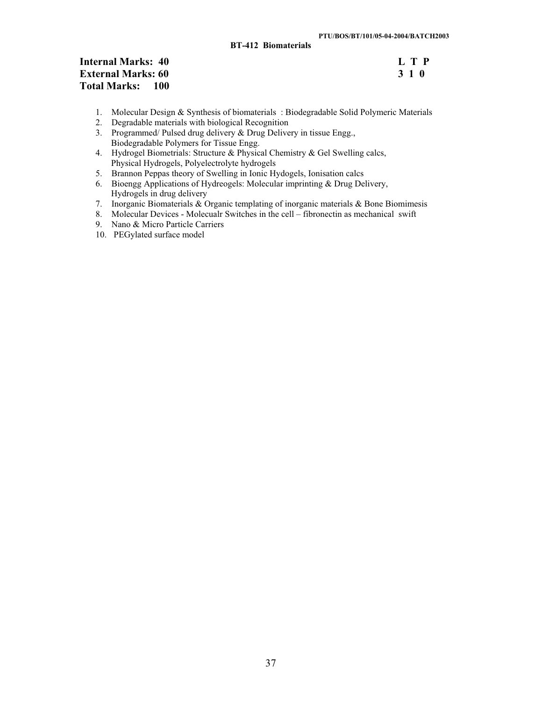# **Internal Marks: 40** L T P<br> **External Marks: 60** 3 1 0 **External Marks: 60 Total Marks: 100**

- 1. Molecular Design & Synthesis of biomaterials : Biodegradable Solid Polymeric Materials
- 2. Degradable materials with biological Recognition
- 3. Programmed/ Pulsed drug delivery & Drug Delivery in tissue Engg., Biodegradable Polymers for Tissue Engg.
- 4. Hydrogel Biometrials: Structure & Physical Chemistry & Gel Swelling calcs, Physical Hydrogels, Polyelectrolyte hydrogels
- 5. Brannon Peppas theory of Swelling in Ionic Hydogels, Ionisation calcs
- 6. Bioengg Applications of Hydreogels: Molecular imprinting & Drug Delivery, Hydrogels in drug delivery
- 7. Inorganic Biomaterials & Organic templating of inorganic materials & Bone Biomimesis
- 8. Molecular Devices Molecualr Switches in the cell fibronectin as mechanical swift
- 9. Nano & Micro Particle Carriers
- 10. PEGylated surface model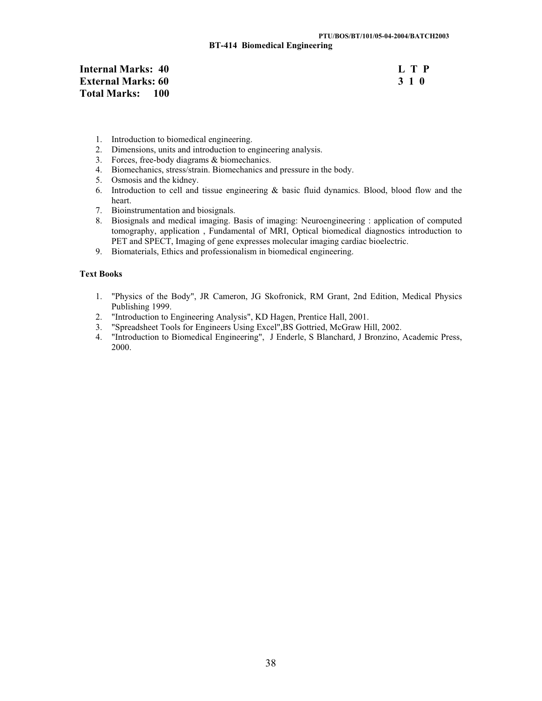**BT-414 Biomedical Engineering** 

| <b>Internal Marks: 40</b>    | L T P |
|------------------------------|-------|
| <b>External Marks: 60</b>    | 3 1 0 |
| <b>Total Marks:</b><br>- 100 |       |

- 1. Introduction to biomedical engineering.
- 2. Dimensions, units and introduction to engineering analysis.
- 3. Forces, free-body diagrams & biomechanics.
- 4. Biomechanics, stress/strain. Biomechanics and pressure in the body.
- 5. Osmosis and the kidney.
- 6. Introduction to cell and tissue engineering & basic fluid dynamics. Blood, blood flow and the heart.
- 7. Bioinstrumentation and biosignals.
- 8. Biosignals and medical imaging. Basis of imaging: Neuroengineering : application of computed tomography, application , Fundamental of MRI, Optical biomedical diagnostics introduction to PET and SPECT, Imaging of gene expresses molecular imaging cardiac bioelectric.
- 9. Biomaterials, Ethics and professionalism in biomedical engineering.

- 1. "Physics of the Body", JR Cameron, JG Skofronick, RM Grant, 2nd Edition, Medical Physics Publishing 1999.
- 2. "Introduction to Engineering Analysis", KD Hagen, Prentice Hall, 2001.
- 3. "Spreadsheet Tools for Engineers Using Excel",BS Gottried, McGraw Hill, 2002.
- 4. "Introduction to Biomedical Engineering", J Enderle, S Blanchard, J Bronzino, Academic Press, 2000.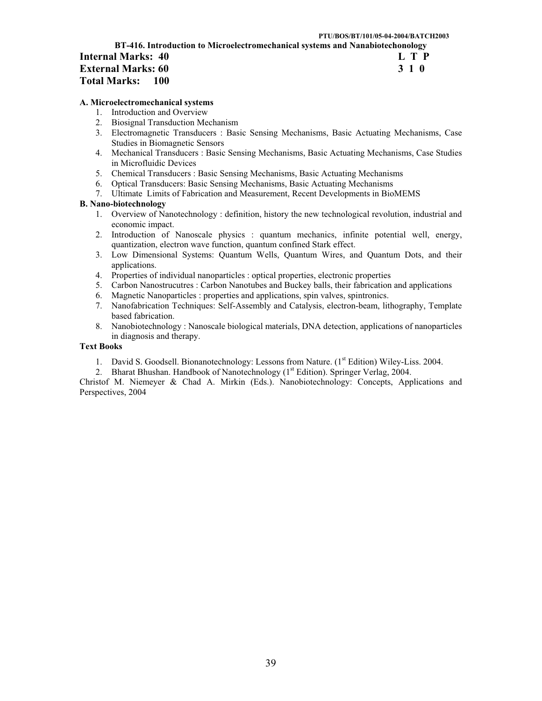|                                                                               | PTU/BOS/BT/101/05-04-2004/BATCH2003 |
|-------------------------------------------------------------------------------|-------------------------------------|
| BT-416. Introduction to Microelectromechanical systems and Nanabiotechonology |                                     |
| Internal Marks: 40                                                            | L T P                               |
| <b>External Marks: 60</b>                                                     | 310                                 |
| <b>Total Marks:</b><br>100                                                    |                                     |

#### **A. Microelectromechanical systems**

- 1. Introduction and Overview
- 2. Biosignal Transduction Mechanism
- 3. Electromagnetic Transducers : Basic Sensing Mechanisms, Basic Actuating Mechanisms, Case Studies in Biomagnetic Sensors
- 4. Mechanical Transducers : Basic Sensing Mechanisms, Basic Actuating Mechanisms, Case Studies in Microfluidic Devices
- 5. Chemical Transducers : Basic Sensing Mechanisms, Basic Actuating Mechanisms
- 6. Optical Transducers: Basic Sensing Mechanisms, Basic Actuating Mechanisms
- 7. Ultimate Limits of Fabrication and Measurement, Recent Developments in BioMEMS

#### **B. Nano-biotechnology**

- 1. Overview of Nanotechnology : definition, history the new technological revolution, industrial and economic impact.
- 2. Introduction of Nanoscale physics : quantum mechanics, infinite potential well, energy, quantization, electron wave function, quantum confined Stark effect.
- 3. Low Dimensional Systems: Quantum Wells, Quantum Wires, and Quantum Dots, and their applications.
- 4. Properties of individual nanoparticles : optical properties, electronic properties
- 5. Carbon Nanostrucutres : Carbon Nanotubes and Buckey balls, their fabrication and applications
- 6. Magnetic Nanoparticles : properties and applications, spin valves, spintronics.
- 7. Nanofabrication Techniques: Self-Assembly and Catalysis, electron-beam, lithography, Template based fabrication.
- 8. Nanobiotechnology : Nanoscale biological materials, DNA detection, applications of nanoparticles in diagnosis and therapy.

### **Text Books**

- 1. David S. Goodsell. Bionanotechnology: Lessons from Nature. (1<sup>st</sup> Edition) Wiley-Liss. 2004.
- 2. Bharat Bhushan. Handbook of Nanotechnology (1<sup>st</sup> Edition). Springer Verlag, 2004.

Christof M. Niemeyer & Chad A. Mirkin (Eds.). Nanobiotechnology: Concepts, Applications and Perspectives, 2004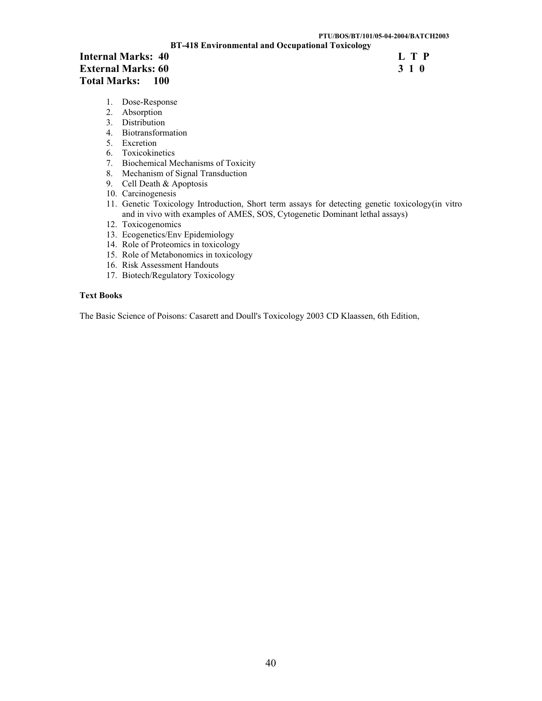**BT-418 Environmental and Occupational Toxicology** 

# **Internal Marks: 40 L T P External Marks: 60 J 1 C External Marks: 60 J 1 C J External Marks: 60 External Marks: 60 Total Marks: 100**

- 1. Dose-Response
- 2. Absorption
- 3. Distribution
- 4. Biotransformation
- 5. Excretion
- 6. Toxicokinetics
- 7. Biochemical Mechanisms of Toxicity
- 8. Mechanism of Signal Transduction
- 9. Cell Death & Apoptosis
- 10. Carcinogenesis
- 11. Genetic Toxicology Introduction, Short term assays for detecting genetic toxicology(in vitro and in vivo with examples of AMES, SOS, Cytogenetic Dominant lethal assays)
- 12. Toxicogenomics
- 13. Ecogenetics/Env Epidemiology
- 14. Role of Proteomics in toxicology
- 15. Role of Metabonomics in toxicology
- 16. Risk Assessment Handouts
- 17. Biotech/Regulatory Toxicology

# **Text Books**

The Basic Science of Poisons: Casarett and Doull's Toxicology 2003 CD Klaassen, 6th Edition,